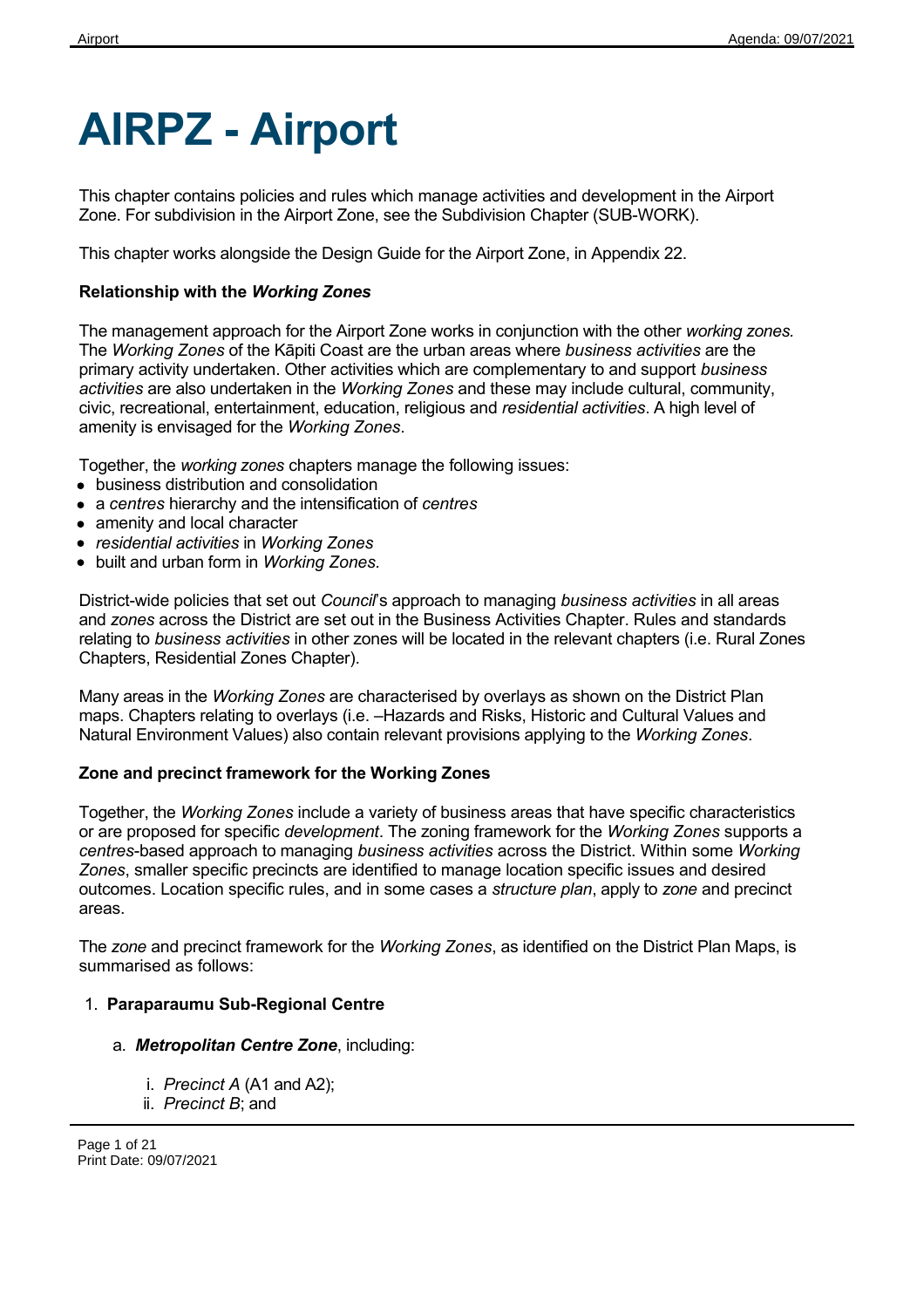# **AIRPZ - Airport**

This chapter contains policies and rules which manage activities and development in the Airport Zone. For subdivision in the Airport Zone, see the Subdivision Chapter (SUB-WORK).

This chapter works alongside the Design Guide for the Airport Zone, in Appendix 22.

#### **Relationship with the** *Working Zones*

The management approach for the Airport Zone works in conjunction with the other *working zones.* The *Working Zones* of the Kāpiti Coast are the urban areas where *business activities* are the primary activity undertaken. Other activities which are complementary to and support *business activities* are also undertaken in the *Working Zones* and these may include cultural, community, civic, recreational, entertainment, education, religious and *residential activities*. A high level of amenity is envisaged for the *Working Zones*.

Together, the *working zones* chapters manage the following issues:

- business distribution and consolidation
- a *centres* hierarchy and the intensification of *centres*
- amenity and local character
- *residential activities* in *Working Zones*
- built and urban form in *Working Zones.*

District-wide policies that set out *Council*'s approach to managing *business activities* in all areas and *zones* across the District are set out in the Business Activities Chapter. Rules and standards relating to *business activities* in other zones will be located in the relevant chapters (i.e. Rural Zones Chapters, Residential Zones Chapter).

Many areas in the *Working Zones* are characterised by overlays as shown on the District Plan maps. Chapters relating to overlays (i.e. –Hazards and Risks, Historic and Cultural Values and Natural Environment Values) also contain relevant provisions applying to the *Working Zones*.

#### **Zone and precinct framework for the Working Zones**

Together, the *Working Zones* include a variety of business areas that have specific characteristics or are proposed for specific *development*. The zoning framework for the *Working Zones* supports a *centres*-based approach to managing *business activities* across the District. Within some *Working Zones*, smaller specific precincts are identified to manage location specific issues and desired outcomes. Location specific rules, and in some cases a *structure plan*, apply to *zone* and precinct areas.

The *zone* and precinct framework for the *Working Zones*, as identified on the District Plan Maps, is summarised as follows:

#### 1. **Paraparaumu Sub-Regional Centre**

- a. *Metropolitan Centre Zone*, including:
	- i. *Precinct A* (A1 and A2);
	- ii. *Precinct B*; and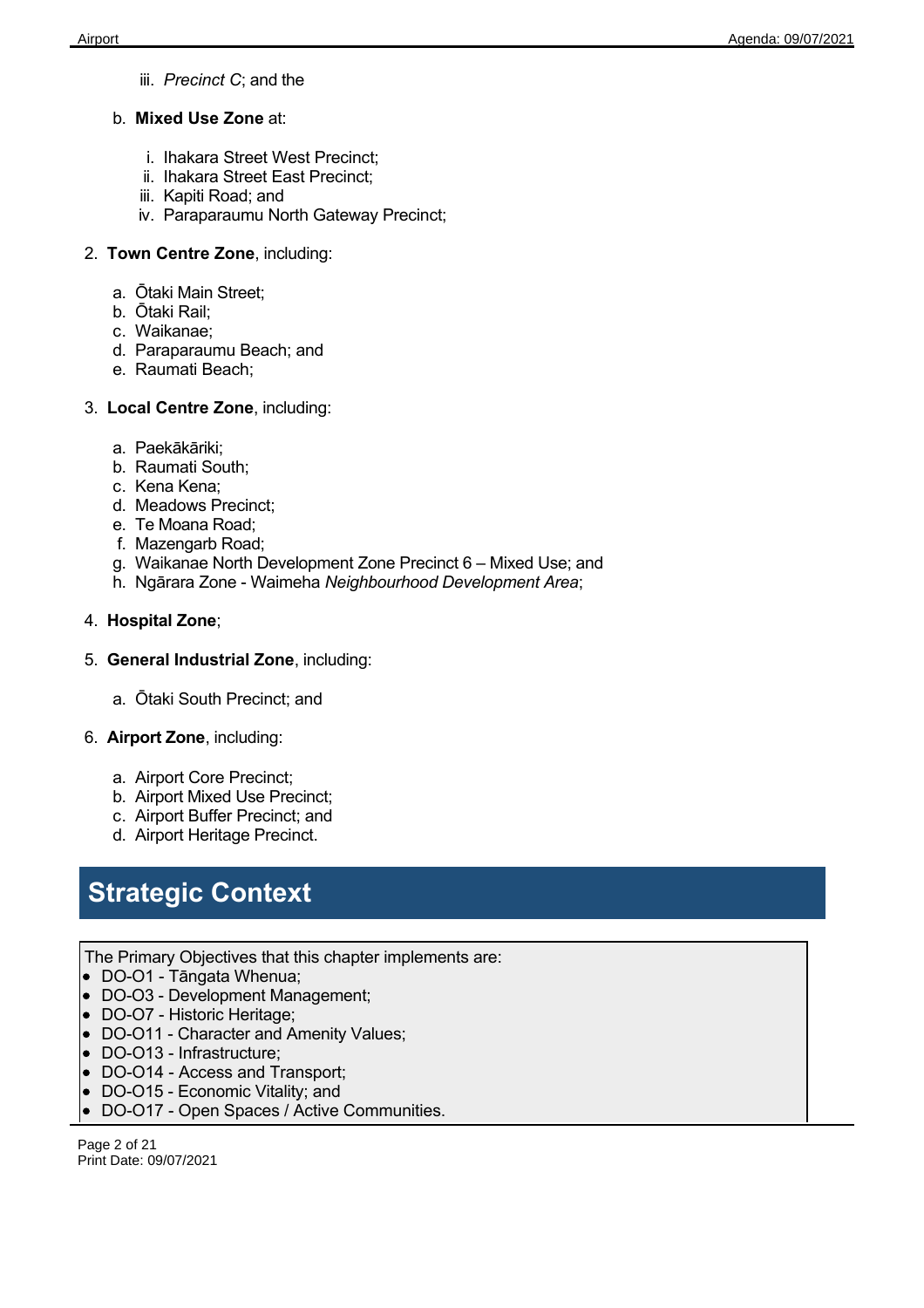- iii. *Precinct C*; and the
- b. **Mixed Use Zone** at:
	- i. Ihakara Street West Precinct;
	- ii. Ihakara Street East Precinct;
	- iii. Kapiti Road; and
	- iv. Paraparaumu North Gateway Precinct;
- 2. **Town Centre Zone**, including:
	- a. Ōtaki Main Street;
	- b. Ōtaki Rail;
	- c. Waikanae;
	- d. Paraparaumu Beach; and
	- e. Raumati Beach;
- 3. **Local Centre Zone**, including:
	- a. Paekākāriki;
	- b. Raumati South;
	- c. Kena Kena;
	- d. Meadows Precinct;
	- e. Te Moana Road;
	- f. Mazengarb Road;
	- g. Waikanae North Development Zone Precinct 6 Mixed Use; and
	- h. Ngārara Zone Waimeha *Neighbourhood Development Area*;
- 4. **Hospital Zone**;
- 5. **General Industrial Zone**, including:
	- a. Ōtaki South Precinct; and
- 6. **Airport Zone**, including:
	- a. Airport Core Precinct;
	- b. Airport Mixed Use Precinct;
	- c. Airport Buffer Precinct; and
	- d. Airport Heritage Precinct.

## **Strategic Context**

- The Primary Objectives that this chapter implements are:
- DO-O1 Tāngata Whenua;
- DO-O3 Development Management;
- DO-O7 Historic Heritage;
- DO-O11 Character and Amenity Values:
- DO-O13 Infrastructure;
- DO-O14 Access and Transport;
- DO-O15 Economic Vitality; and
- DO-O17 Open Spaces / Active Communities.

Page 2 of 21 Print Date: 09/07/2021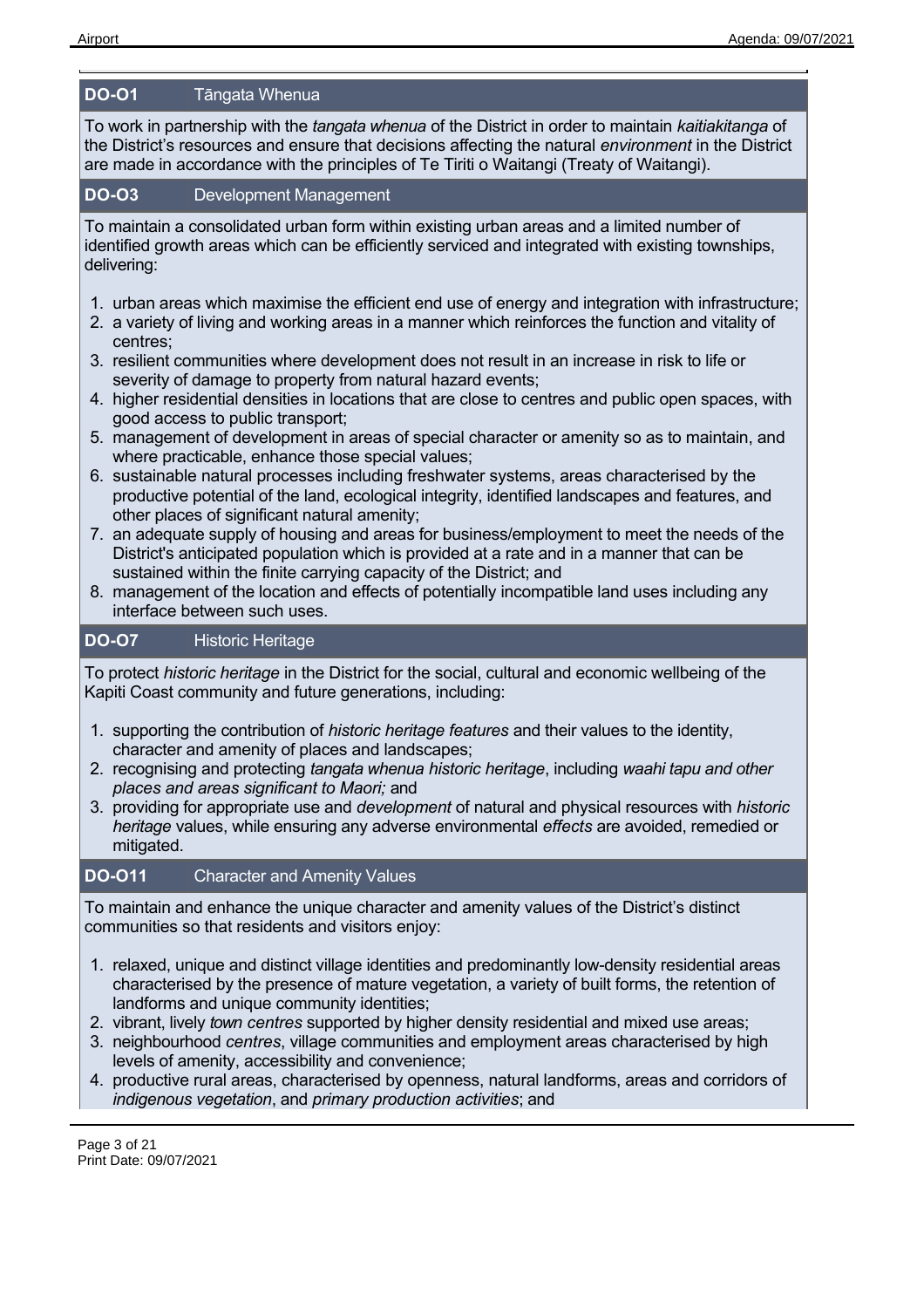#### **DO-O1** Tāngata Whenua

To work in partnership with the *tangata whenua* of the District in order to maintain *kaitiakitanga* of the District's resources and ensure that decisions affecting the natural *environment* in the District are made in accordance with the principles of Te Tiriti o Waitangi (Treaty of Waitangi).

#### **DO-O3** Development Management

To maintain a consolidated urban form within existing urban areas and a limited number of identified growth areas which can be efficiently serviced and integrated with existing townships, delivering:

- 1. urban areas which maximise the efficient end use of energy and integration with infrastructure;
- 2. a variety of living and working areas in a manner which reinforces the function and vitality of centres;
- 3. resilient communities where development does not result in an increase in risk to life or severity of damage to property from natural hazard events;
- 4. higher residential densities in locations that are close to centres and public open spaces, with good access to public transport;
- 5. management of development in areas of special character or amenity so as to maintain, and where practicable, enhance those special values;
- 6. sustainable natural processes including freshwater systems, areas characterised by the productive potential of the land, ecological integrity, identified landscapes and features, and other places of significant natural amenity;
- 7. an adequate supply of housing and areas for business/employment to meet the needs of the District's anticipated population which is provided at a rate and in a manner that can be sustained within the finite carrying capacity of the District; and
- 8. management of the location and effects of potentially incompatible land uses including any interface between such uses.

#### **DO-O7** Historic Heritage

To protect *historic heritage* in the District for the social, cultural and economic wellbeing of the Kapiti Coast community and future generations, including:

- 1. supporting the contribution of *historic heritage features* and their values to the identity, character and amenity of places and landscapes;
- 2. recognising and protecting *tangata whenua historic heritage*, including *waahi tapu and other places and areas significant to Maori;* and
- 3. providing for appropriate use and *development* of natural and physical resources with *historic heritage* values, while ensuring any adverse environmental *effects* are avoided, remedied or mitigated.

#### **DO-O11** Character and Amenity Values

To maintain and enhance the unique character and amenity values of the District's distinct communities so that residents and visitors enjoy:

- 1. relaxed, unique and distinct village identities and predominantly low-density residential areas characterised by the presence of mature vegetation, a variety of built forms, the retention of landforms and unique community identities;
- 2. vibrant, lively *town centres* supported by higher density residential and mixed use areas;
- 3. neighbourhood *centres*, village communities and employment areas characterised by high levels of amenity, accessibility and convenience;
- 4. productive rural areas, characterised by openness, natural landforms, areas and corridors of *indigenous vegetation*, and *primary production activities*; and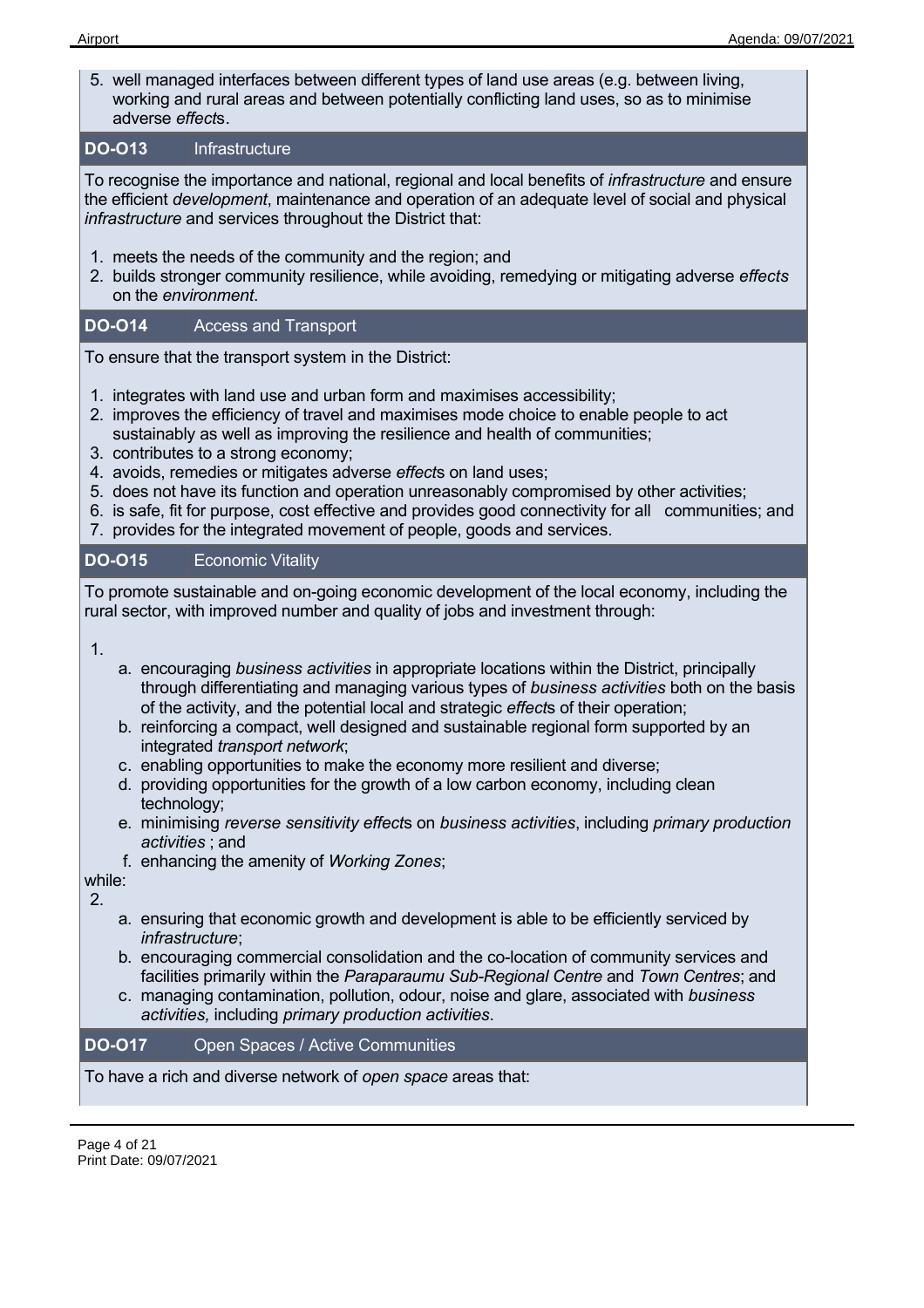5. well managed interfaces between different types of land use areas (e.g. between living, working and rural areas and between potentially conflicting land uses, so as to minimise adverse *effect*s.

#### **DO-O13** Infrastructure

To recognise the importance and national, regional and local benefits of *infrastructure* and ensure the efficient *development*, maintenance and operation of an adequate level of social and physical *infrastructure* and services throughout the District that:

- 1. meets the needs of the community and the region; and
- 2. builds stronger community resilience, while avoiding, remedying or mitigating adverse *effects* on the *environment*.

#### **DO-O14** Access and Transport

To ensure that the transport system in the District:

- 1. integrates with land use and urban form and maximises accessibility;
- 2. improves the efficiency of travel and maximises mode choice to enable people to act sustainably as well as improving the resilience and health of communities;
- 3. contributes to a strong economy;
- 4. avoids, remedies or mitigates adverse *effect*s on land uses;
- 5. does not have its function and operation unreasonably compromised by other activities;
- 6. is safe, fit for purpose, cost effective and provides good connectivity for all communities; and
- 7. provides for the integrated movement of people, goods and services.

#### **DO-O15** Economic Vitality

To promote sustainable and on-going economic development of the local economy, including the rural sector, with improved number and quality of jobs and investment through:

#### 1.

- a. encouraging *business activities* in appropriate locations within the District, principally through differentiating and managing various types of *business activities* both on the basis of the activity, and the potential local and strategic *effect*s of their operation;
- b. reinforcing a compact, well designed and sustainable regional form supported by an integrated *transport network*;
- c. enabling opportunities to make the economy more resilient and diverse;
- d. providing opportunities for the growth of a low carbon economy, including clean technology;
- e. minimising *reverse sensitivity effect*s on *business activities*, including *primary production activities* ; and
- f. enhancing the amenity of *Working Zones*;

while:

2.

- a. ensuring that economic growth and development is able to be efficiently serviced by *infrastructure*;
- b. encouraging commercial consolidation and the co-location of community services and facilities primarily within the *Paraparaumu Sub-Regional Centre* and *Town Centres*; and
- c. managing contamination, pollution, odour, noise and glare, associated with *business activities,* including *primary production activities*.

#### **DO-O17** Open Spaces / Active Communities

To have a rich and diverse network of *open space* areas that: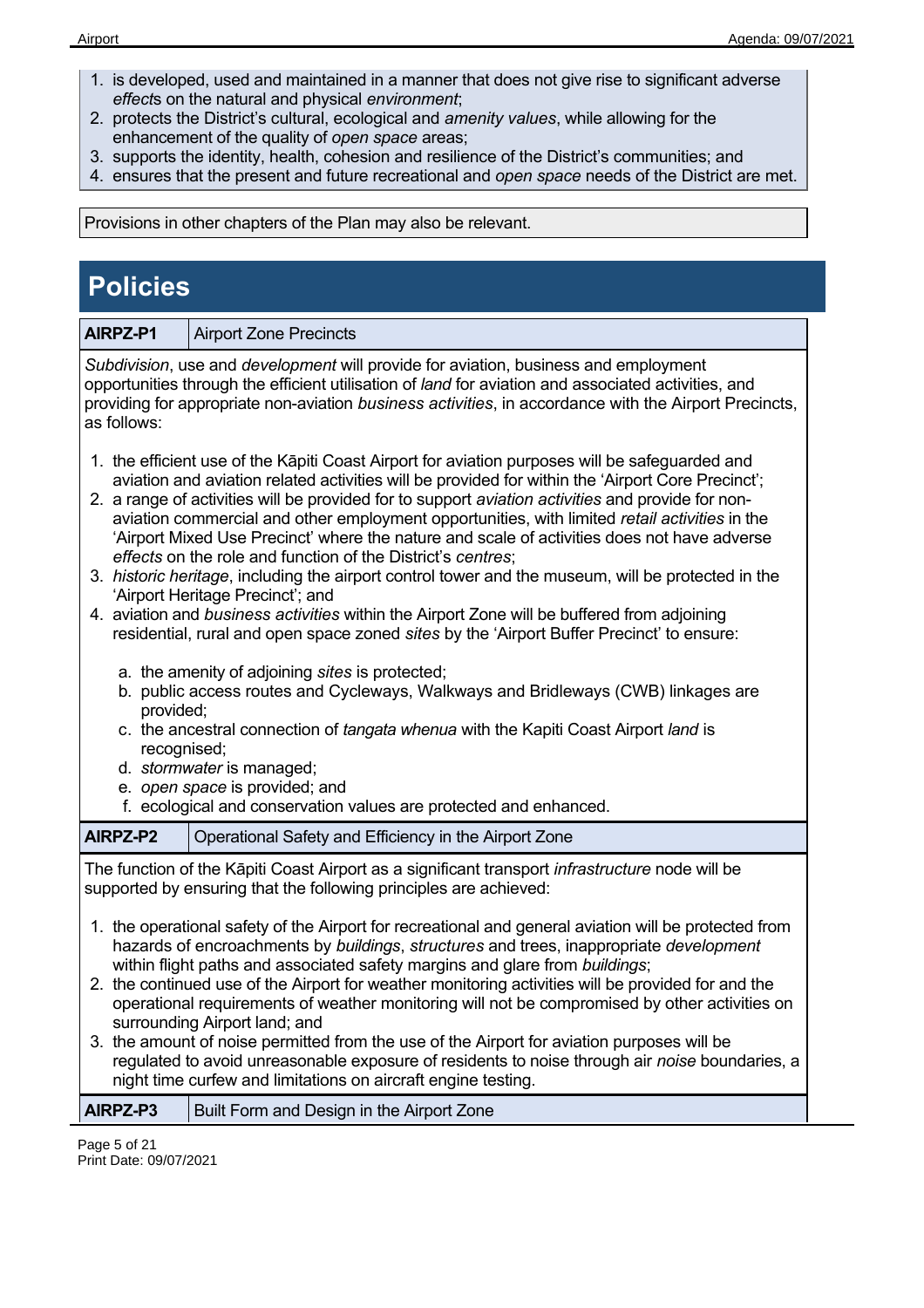- 1. is developed, used and maintained in a manner that does not give rise to significant adverse *effect*s on the natural and physical *environment*;
- 2. protects the District's cultural, ecological and *amenity values*, while allowing for the enhancement of the quality of *open space* areas;
- 3. supports the identity, health, cohesion and resilience of the District's communities; and
- 4. ensures that the present and future recreational and *open space* needs of the District are met.

Provisions in other chapters of the Plan may also be relevant.

## **Policies**

**AIRPZ-P1** Airport Zone Precincts

*Subdivision*, use and *development* will provide for aviation, business and employment opportunities through the efficient utilisation of *land* for aviation and associated activities, and providing for appropriate non-aviation *business activities*, in accordance with the Airport Precincts, as follows:

- 1. the efficient use of the Kāpiti Coast Airport for aviation purposes will be safeguarded and aviation and aviation related activities will be provided for within the 'Airport Core Precinct';
- 2. a range of activities will be provided for to support *aviation activities* and provide for nonaviation commercial and other employment opportunities, with limited *retail activities* in the 'Airport Mixed Use Precinct' where the nature and scale of activities does not have adverse *effects* on the role and function of the District's *centres*;
- 3. *historic heritage*, including the airport control tower and the museum, will be protected in the 'Airport Heritage Precinct'; and
- 4. aviation and *business activities* within the Airport Zone will be buffered from adjoining residential, rural and open space zoned *sites* by the 'Airport Buffer Precinct' to ensure:
	- a. the amenity of adjoining *sites* is protected;
	- b. public access routes and Cycleways, Walkways and Bridleways (CWB) linkages are provided;
	- c. the ancestral connection of *tangata whenua* with the Kapiti Coast Airport *land* is recognised;
	- d. *stormwater* is managed;
	- e. *open space* is provided; and
	- f. ecological and conservation values are protected and enhanced.

| AIRPZ-P2 | Operational Safety and Efficiency in the Airport Zone |
|----------|-------------------------------------------------------|
|          |                                                       |

The function of the Kāpiti Coast Airport as a significant transport *infrastructure* node will be supported by ensuring that the following principles are achieved:

- 1. the operational safety of the Airport for recreational and general aviation will be protected from hazards of encroachments by *buildings*, *structures* and trees, inappropriate *development* within flight paths and associated safety margins and glare from *buildings*;
- 2. the continued use of the Airport for weather monitoring activities will be provided for and the operational requirements of weather monitoring will not be compromised by other activities on surrounding Airport land; and
- 3. the amount of noise permitted from the use of the Airport for aviation purposes will be regulated to avoid unreasonable exposure of residents to noise through air *noise* boundaries, a night time curfew and limitations on aircraft engine testing.

| AIRPZ-P3 | <b>Built Form and Design in the Airport Zone</b> |
|----------|--------------------------------------------------|
|----------|--------------------------------------------------|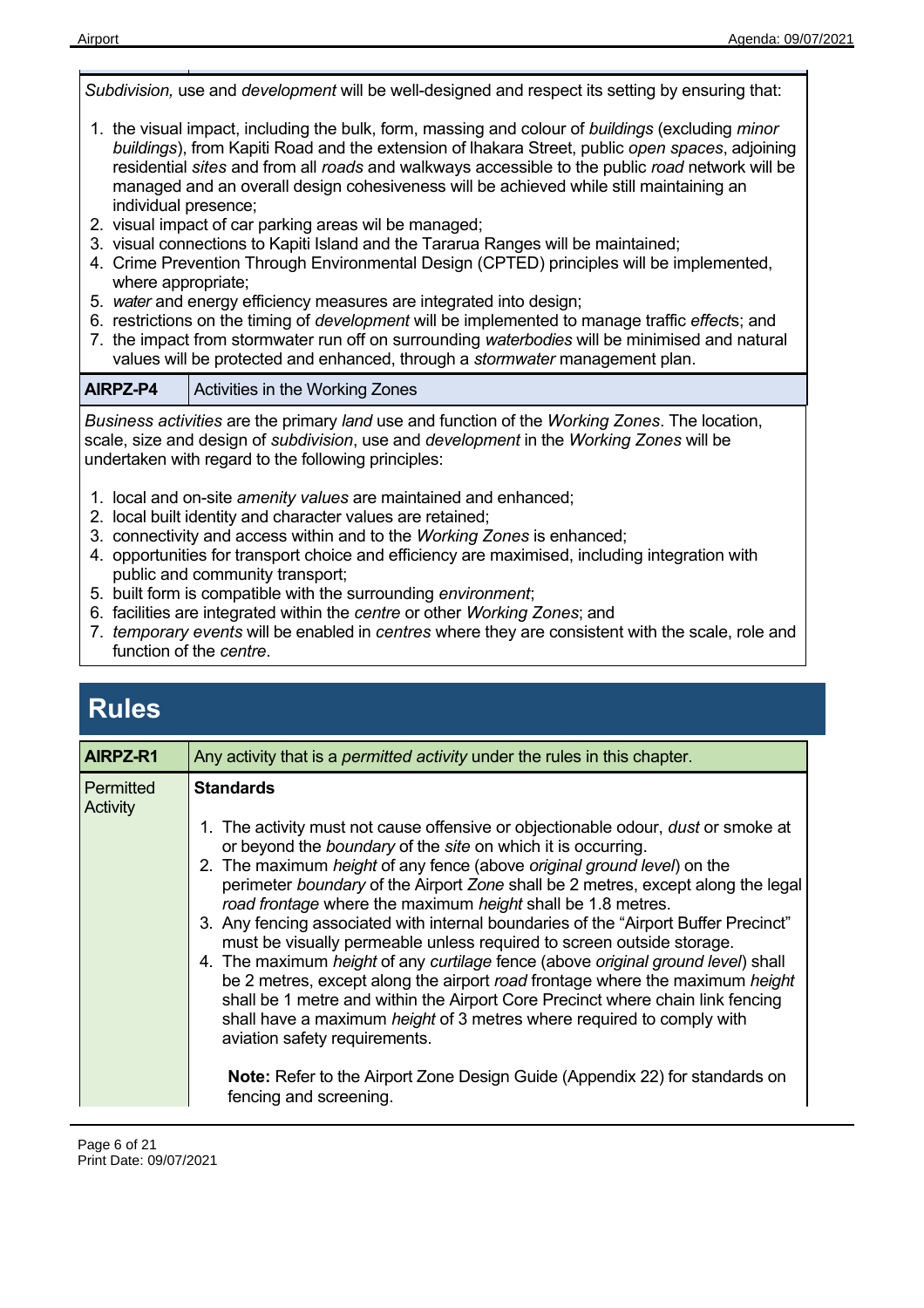*Subdivision,* use and *development* will be well-designed and respect its setting by ensuring that: 1. the visual impact, including the bulk, form, massing and colour of *buildings* (excluding *minor buildings*), from Kapiti Road and the extension of lhakara Street, public *open spaces*, adjoining residential *sites* and from all *roads* and walkways accessible to the public *road* network will be managed and an overall design cohesiveness will be achieved while still maintaining an individual presence; 2. visual impact of car parking areas wil be managed; 3. visual connections to Kapiti Island and the Tararua Ranges will be maintained; 4. Crime Prevention Through Environmental Design (CPTED) principles will be implemented, where appropriate;

- 5. *water* and energy efficiency measures are integrated into design;
- 6. restrictions on the timing of *development* will be implemented to manage traffic *effect*s; and
- 7. the impact from stormwater run off on surrounding *waterbodies* will be minimised and natural values will be protected and enhanced, through a *stormwater* management plan.

| AIRPZ-P4 |  | <b>Activities in the Working Zones</b> |
|----------|--|----------------------------------------|
|----------|--|----------------------------------------|

*Business activities* are the primary *land* use and function of the *Working Zones*. The location, scale, size and design of *subdivision*, use and *development* in the *Working Zones* will be undertaken with regard to the following principles:

- 1. local and on-site *amenity values* are maintained and enhanced;
- 2. local built identity and character values are retained;
- 3. connectivity and access within and to the *Working Zones* is enhanced;
- 4. opportunities for transport choice and efficiency are maximised, including integration with public and community transport;
- 5. built form is compatible with the surrounding *environment*;
- 6. facilities are integrated within the *centre* or other *Working Zones*; and
- 7. *temporary events* will be enabled in *centres* where they are consistent with the scale, role and function of the *centre*.

### **Rules**

| AIRPZ-R1                     | Any activity that is a <i>permitted activity</i> under the rules in this chapter.                                                                                                                                                                                                                                                                                                                                                                                                                                                                                                                                                                                                                                                                                                                                                                                                                                                                                                                                                                                               |
|------------------------------|---------------------------------------------------------------------------------------------------------------------------------------------------------------------------------------------------------------------------------------------------------------------------------------------------------------------------------------------------------------------------------------------------------------------------------------------------------------------------------------------------------------------------------------------------------------------------------------------------------------------------------------------------------------------------------------------------------------------------------------------------------------------------------------------------------------------------------------------------------------------------------------------------------------------------------------------------------------------------------------------------------------------------------------------------------------------------------|
| <b>Permitted</b><br>Activity | <b>Standards</b><br>1. The activity must not cause offensive or objectionable odour, <i>dust</i> or smoke at<br>or beyond the <i>boundary</i> of the <i>site</i> on which it is occurring.<br>2. The maximum height of any fence (above original ground level) on the<br>perimeter boundary of the Airport Zone shall be 2 metres, except along the legal<br>road frontage where the maximum height shall be 1.8 metres.<br>3. Any fencing associated with internal boundaries of the "Airport Buffer Precinct"<br>must be visually permeable unless required to screen outside storage.<br>4. The maximum height of any curtilage fence (above original ground level) shall<br>be 2 metres, except along the airport road frontage where the maximum height<br>shall be 1 metre and within the Airport Core Precinct where chain link fencing<br>shall have a maximum <i>height</i> of 3 metres where required to comply with<br>aviation safety requirements.<br><b>Note:</b> Refer to the Airport Zone Design Guide (Appendix 22) for standards on<br>fencing and screening. |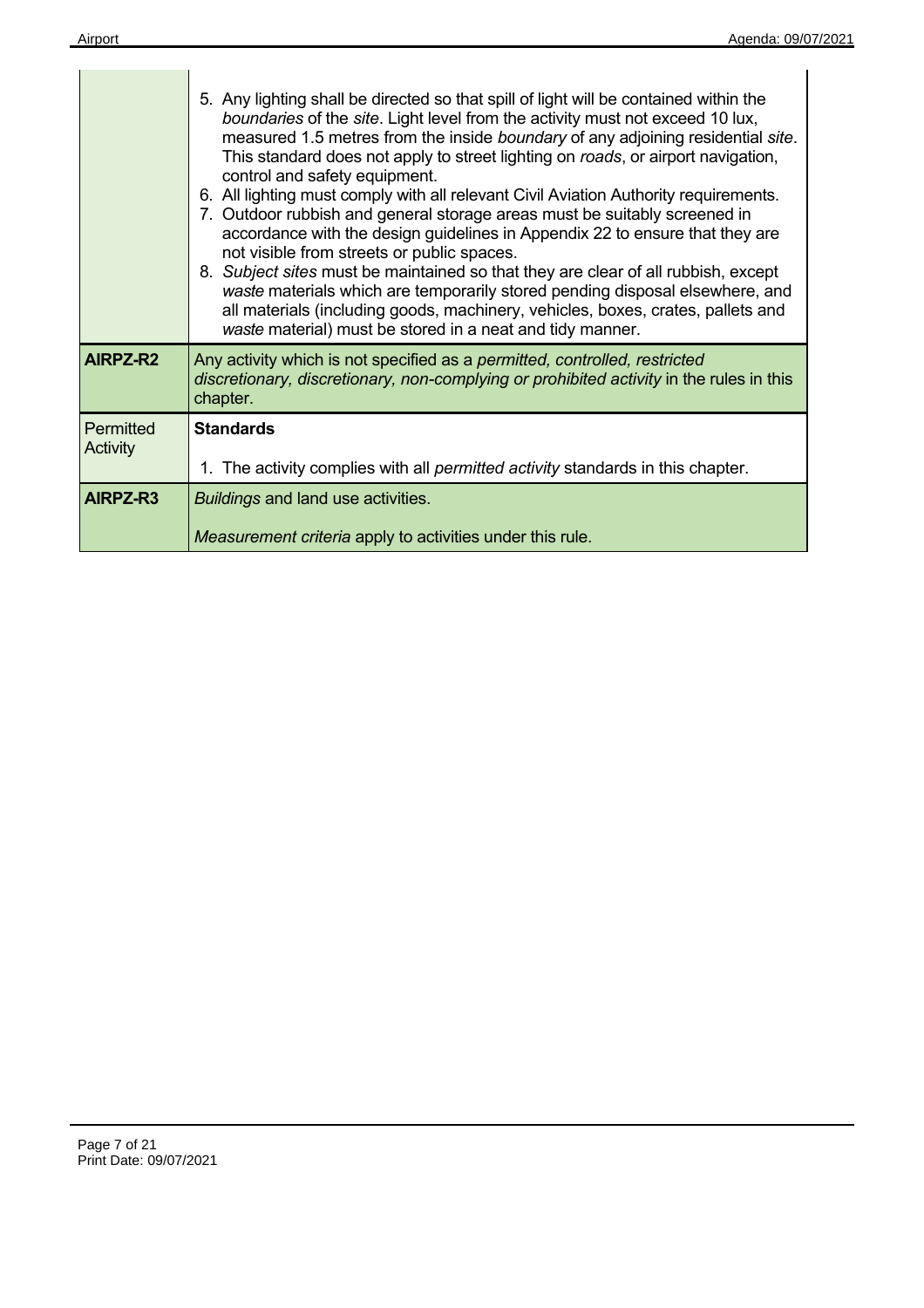|                       | 5. Any lighting shall be directed so that spill of light will be contained within the<br>boundaries of the site. Light level from the activity must not exceed 10 lux,<br>measured 1.5 metres from the inside boundary of any adjoining residential site.<br>This standard does not apply to street lighting on roads, or airport navigation,<br>control and safety equipment.<br>6. All lighting must comply with all relevant Civil Aviation Authority requirements.<br>7. Outdoor rubbish and general storage areas must be suitably screened in<br>accordance with the design guidelines in Appendix 22 to ensure that they are<br>not visible from streets or public spaces.<br>8. Subject sites must be maintained so that they are clear of all rubbish, except<br>waste materials which are temporarily stored pending disposal elsewhere, and<br>all materials (including goods, machinery, vehicles, boxes, crates, pallets and<br>waste material) must be stored in a neat and tidy manner. |
|-----------------------|--------------------------------------------------------------------------------------------------------------------------------------------------------------------------------------------------------------------------------------------------------------------------------------------------------------------------------------------------------------------------------------------------------------------------------------------------------------------------------------------------------------------------------------------------------------------------------------------------------------------------------------------------------------------------------------------------------------------------------------------------------------------------------------------------------------------------------------------------------------------------------------------------------------------------------------------------------------------------------------------------------|
| AIRPZ-R2              | Any activity which is not specified as a permitted, controlled, restricted<br>discretionary, discretionary, non-complying or prohibited activity in the rules in this<br>chapter.                                                                                                                                                                                                                                                                                                                                                                                                                                                                                                                                                                                                                                                                                                                                                                                                                      |
| Permitted<br>Activity | <b>Standards</b><br>1. The activity complies with all <i>permitted activity</i> standards in this chapter.                                                                                                                                                                                                                                                                                                                                                                                                                                                                                                                                                                                                                                                                                                                                                                                                                                                                                             |
| AIRPZ-R3              | <b>Buildings and land use activities.</b><br>Measurement criteria apply to activities under this rule.                                                                                                                                                                                                                                                                                                                                                                                                                                                                                                                                                                                                                                                                                                                                                                                                                                                                                                 |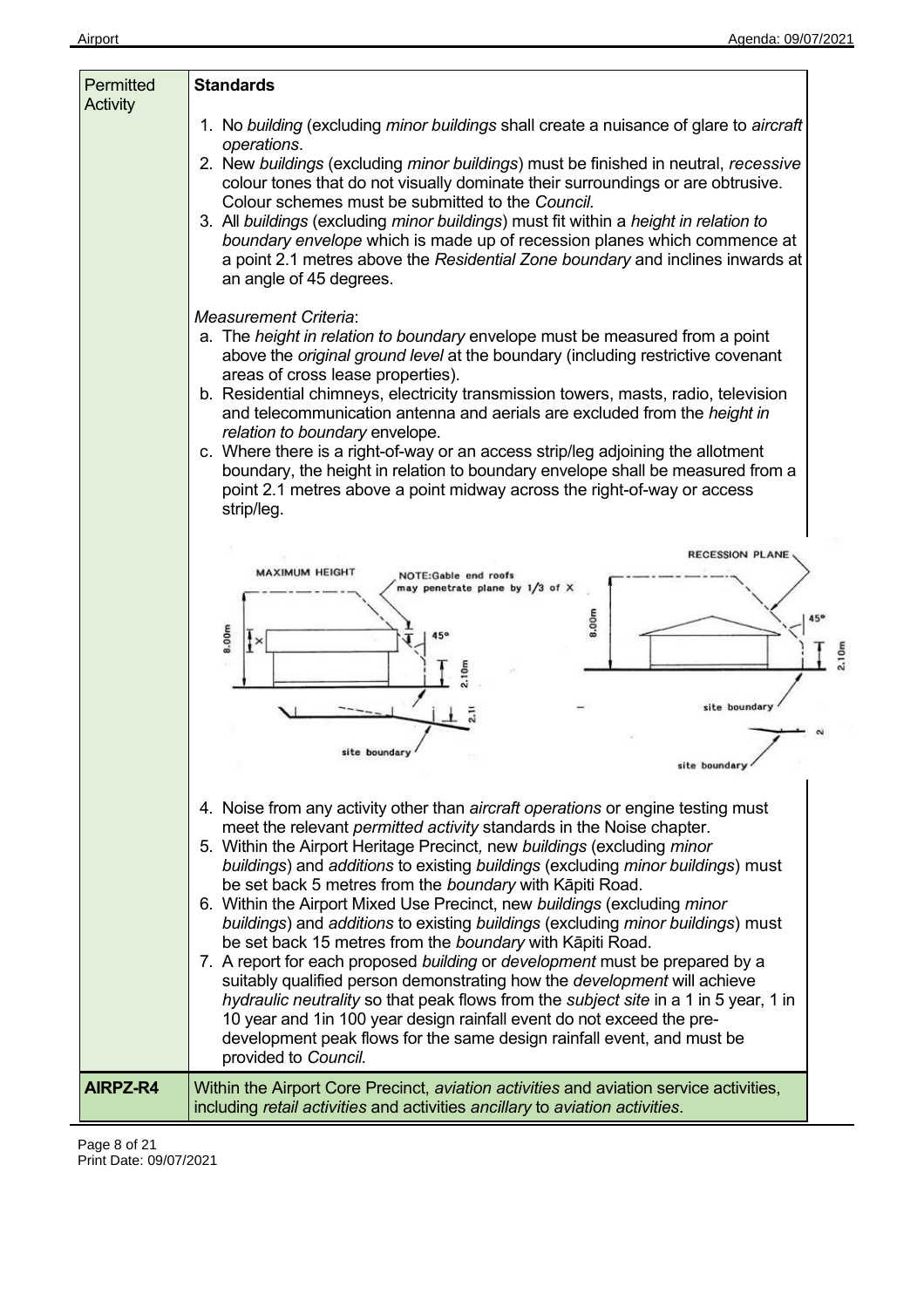| Permitted<br><b>Activity</b> | <b>Standards</b>                                                                                                                                                                                                                                                                                                                                                                                                                                                                                                                                                                                                                                                                                                                                                                                                                                                                                                                                                                                                                                    |
|------------------------------|-----------------------------------------------------------------------------------------------------------------------------------------------------------------------------------------------------------------------------------------------------------------------------------------------------------------------------------------------------------------------------------------------------------------------------------------------------------------------------------------------------------------------------------------------------------------------------------------------------------------------------------------------------------------------------------------------------------------------------------------------------------------------------------------------------------------------------------------------------------------------------------------------------------------------------------------------------------------------------------------------------------------------------------------------------|
|                              | 1. No building (excluding minor buildings shall create a nuisance of glare to aircraft<br>operations.<br>2. New buildings (excluding minor buildings) must be finished in neutral, recessive<br>colour tones that do not visually dominate their surroundings or are obtrusive.<br>Colour schemes must be submitted to the Council.<br>3. All buildings (excluding minor buildings) must fit within a height in relation to<br>boundary envelope which is made up of recession planes which commence at<br>a point 2.1 metres above the Residential Zone boundary and inclines inwards at<br>an angle of 45 degrees.<br><b>Measurement Criteria:</b>                                                                                                                                                                                                                                                                                                                                                                                                |
|                              | a. The height in relation to boundary envelope must be measured from a point<br>above the original ground level at the boundary (including restrictive covenant<br>areas of cross lease properties).<br>b. Residential chimneys, electricity transmission towers, masts, radio, television<br>and telecommunication antenna and aerials are excluded from the height in<br>relation to boundary envelope.<br>c. Where there is a right-of-way or an access strip/leg adjoining the allotment<br>boundary, the height in relation to boundary envelope shall be measured from a<br>point 2.1 metres above a point midway across the right-of-way or access<br>strip/leg.                                                                                                                                                                                                                                                                                                                                                                             |
|                              | RECESSION PLANE<br><b>MAXIMUM HEIGHT</b><br>NOTE:Gable end roofs<br>may penetrate plane by 1/3 of X<br>8.00m<br>8.00m<br>2.10m<br>$\frac{5}{2}$<br>site boundary<br>site boundary<br>site boundary                                                                                                                                                                                                                                                                                                                                                                                                                                                                                                                                                                                                                                                                                                                                                                                                                                                  |
|                              | 4. Noise from any activity other than aircraft operations or engine testing must<br>meet the relevant permitted activity standards in the Noise chapter.<br>5. Within the Airport Heritage Precinct, new buildings (excluding minor<br>buildings) and additions to existing buildings (excluding minor buildings) must<br>be set back 5 metres from the boundary with Kāpiti Road.<br>6. Within the Airport Mixed Use Precinct, new buildings (excluding minor<br>buildings) and additions to existing buildings (excluding minor buildings) must<br>be set back 15 metres from the boundary with Kāpiti Road.<br>7. A report for each proposed building or development must be prepared by a<br>suitably qualified person demonstrating how the <i>development</i> will achieve<br>hydraulic neutrality so that peak flows from the subject site in a 1 in 5 year, 1 in<br>10 year and 1in 100 year design rainfall event do not exceed the pre-<br>development peak flows for the same design rainfall event, and must be<br>provided to Council. |
| AIRPZ-R4                     | Within the Airport Core Precinct, <i>aviation activities</i> and aviation service activities,<br>including retail activities and activities ancillary to aviation activities.                                                                                                                                                                                                                                                                                                                                                                                                                                                                                                                                                                                                                                                                                                                                                                                                                                                                       |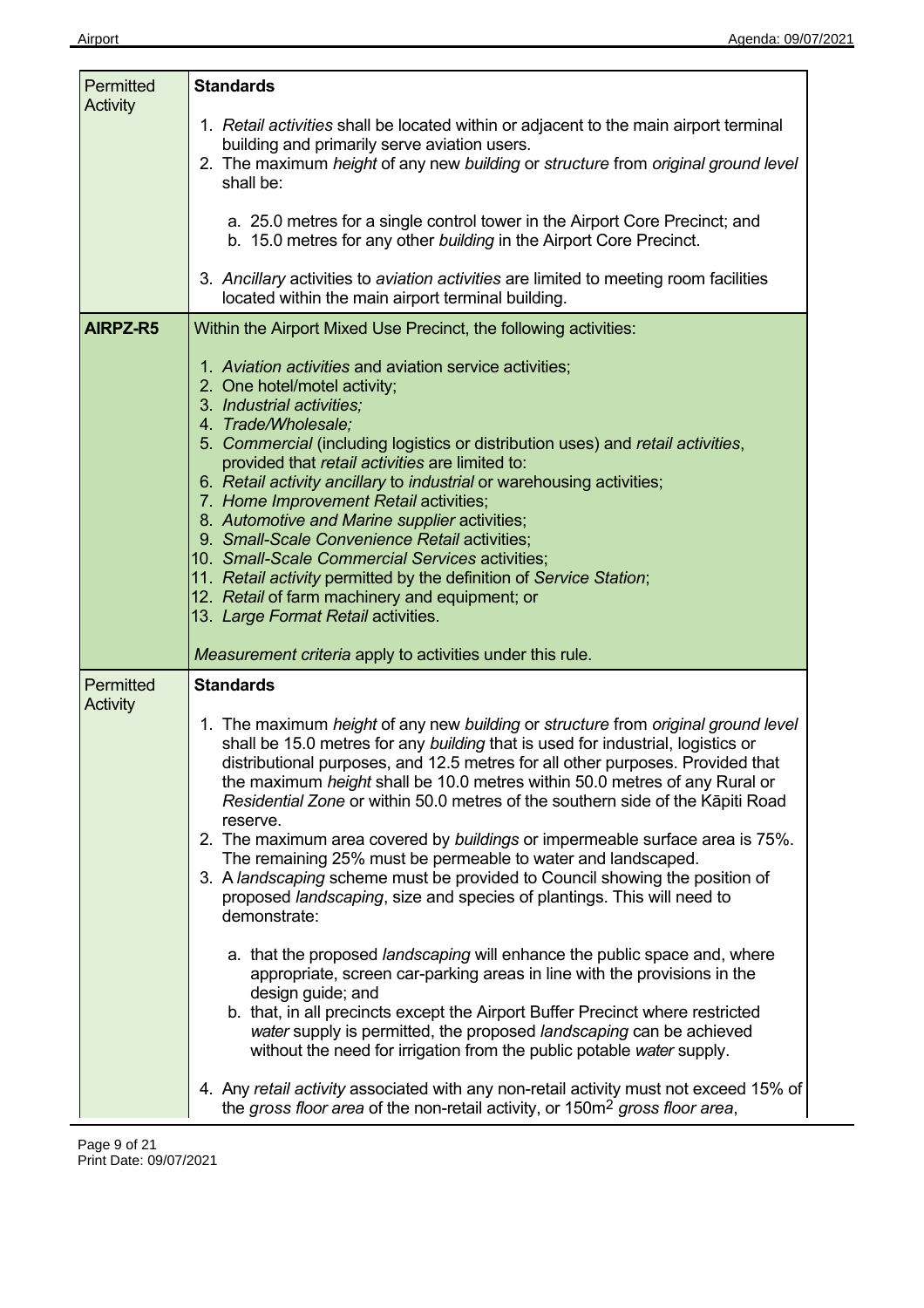| Permitted | <b>Standards</b>                                                                                                                                                                                                                                                                                                                                                                                                                                                                                                                                                                                                                                                                                                                                                                       |
|-----------|----------------------------------------------------------------------------------------------------------------------------------------------------------------------------------------------------------------------------------------------------------------------------------------------------------------------------------------------------------------------------------------------------------------------------------------------------------------------------------------------------------------------------------------------------------------------------------------------------------------------------------------------------------------------------------------------------------------------------------------------------------------------------------------|
| Activity  | 1. Retail activities shall be located within or adjacent to the main airport terminal<br>building and primarily serve aviation users.<br>2. The maximum height of any new building or structure from original ground level<br>shall be:                                                                                                                                                                                                                                                                                                                                                                                                                                                                                                                                                |
|           | a. 25.0 metres for a single control tower in the Airport Core Precinct; and<br>b. 15.0 metres for any other building in the Airport Core Precinct.                                                                                                                                                                                                                                                                                                                                                                                                                                                                                                                                                                                                                                     |
|           | 3. Ancillary activities to aviation activities are limited to meeting room facilities<br>located within the main airport terminal building.                                                                                                                                                                                                                                                                                                                                                                                                                                                                                                                                                                                                                                            |
| AIRPZ-R5  | Within the Airport Mixed Use Precinct, the following activities:                                                                                                                                                                                                                                                                                                                                                                                                                                                                                                                                                                                                                                                                                                                       |
|           | 1. Aviation activities and aviation service activities;<br>2. One hotel/motel activity;<br>3. Industrial activities;<br>4. Trade/Wholesale;<br>5. Commercial (including logistics or distribution uses) and retail activities,<br>provided that retail activities are limited to:<br>6. Retail activity ancillary to industrial or warehousing activities;<br>7. Home Improvement Retail activities;<br>8. Automotive and Marine supplier activities;<br>9. Small-Scale Convenience Retail activities;<br>10. Small-Scale Commercial Services activities;<br>11. Retail activity permitted by the definition of Service Station;<br>12. Retail of farm machinery and equipment; or<br>13. Large Format Retail activities.<br>Measurement criteria apply to activities under this rule. |
| Permitted | <b>Standards</b>                                                                                                                                                                                                                                                                                                                                                                                                                                                                                                                                                                                                                                                                                                                                                                       |
| Activity  | 1. The maximum height of any new building or structure from original ground level<br>shall be 15.0 metres for any building that is used for industrial, logistics or<br>distributional purposes, and 12.5 metres for all other purposes. Provided that<br>the maximum height shall be 10.0 metres within 50.0 metres of any Rural or<br>Residential Zone or within 50.0 metres of the southern side of the Kāpiti Road<br>reserve.<br>2. The maximum area covered by buildings or impermeable surface area is 75%.<br>The remaining 25% must be permeable to water and landscaped.<br>3. A landscaping scheme must be provided to Council showing the position of<br>proposed landscaping, size and species of plantings. This will need to<br>demonstrate:                            |
|           | a. that the proposed landscaping will enhance the public space and, where<br>appropriate, screen car-parking areas in line with the provisions in the<br>design guide; and<br>b. that, in all precincts except the Airport Buffer Precinct where restricted<br>water supply is permitted, the proposed landscaping can be achieved<br>without the need for irrigation from the public potable water supply.                                                                                                                                                                                                                                                                                                                                                                            |
|           | 4. Any retail activity associated with any non-retail activity must not exceed 15% of<br>the gross floor area of the non-retail activity, or 150m <sup>2</sup> gross floor area,                                                                                                                                                                                                                                                                                                                                                                                                                                                                                                                                                                                                       |

 $\overline{\phantom{a}}$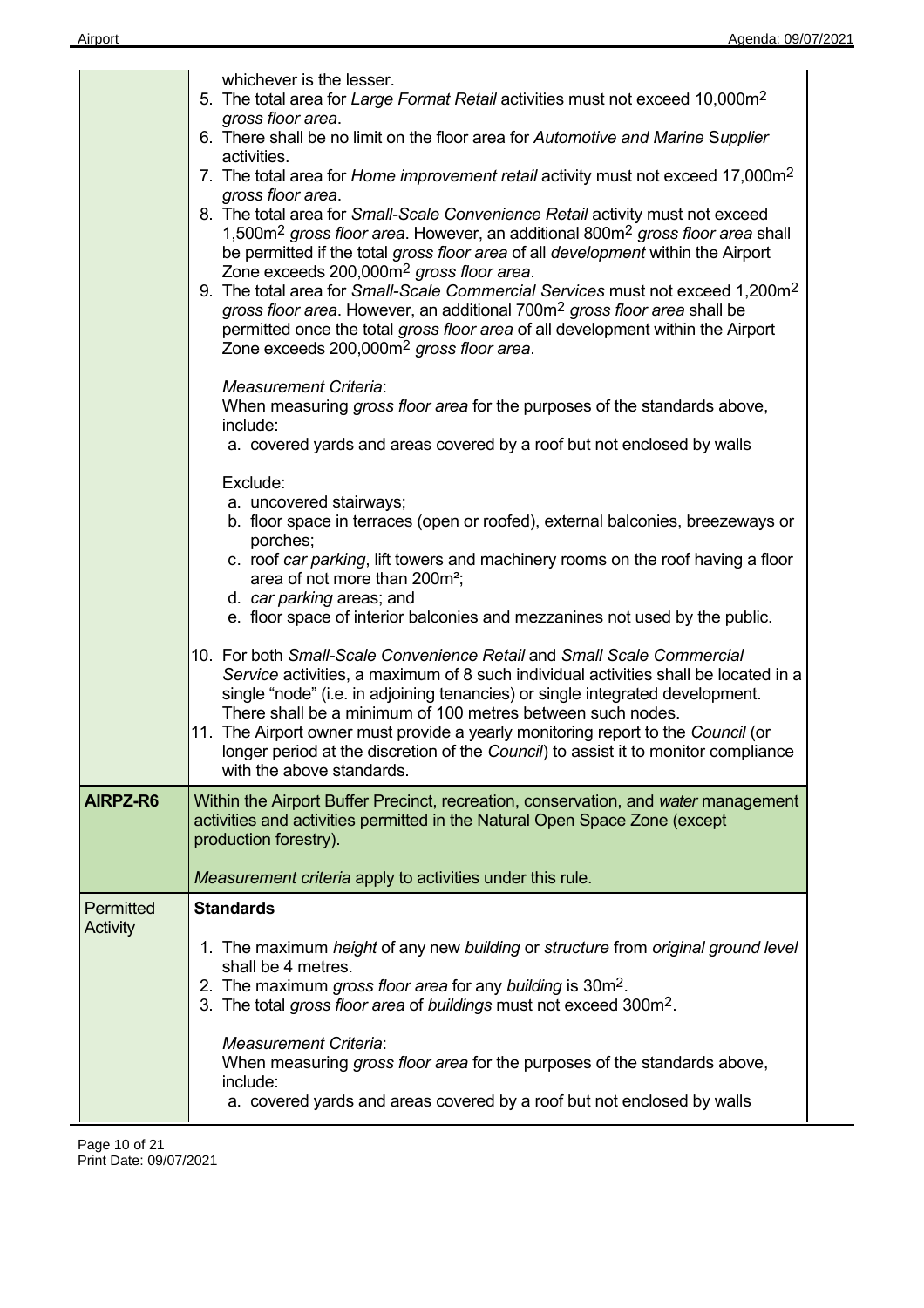|                 | whichever is the lesser.                                                                                                                                                                                                                                                                                                                                                                                                                                                                                                                                                                                                                                           |
|-----------------|--------------------------------------------------------------------------------------------------------------------------------------------------------------------------------------------------------------------------------------------------------------------------------------------------------------------------------------------------------------------------------------------------------------------------------------------------------------------------------------------------------------------------------------------------------------------------------------------------------------------------------------------------------------------|
|                 | 5. The total area for Large Format Retail activities must not exceed 10,000m <sup>2</sup><br>gross floor area.                                                                                                                                                                                                                                                                                                                                                                                                                                                                                                                                                     |
|                 | 6. There shall be no limit on the floor area for Automotive and Marine Supplier<br>activities.                                                                                                                                                                                                                                                                                                                                                                                                                                                                                                                                                                     |
|                 | 7. The total area for Home improvement retail activity must not exceed 17,000m <sup>2</sup><br>gross floor area.                                                                                                                                                                                                                                                                                                                                                                                                                                                                                                                                                   |
|                 | 8. The total area for Small-Scale Convenience Retail activity must not exceed<br>1,500m <sup>2</sup> gross floor area. However, an additional 800m <sup>2</sup> gross floor area shall<br>be permitted if the total gross floor area of all development within the Airport<br>Zone exceeds 200,000m <sup>2</sup> gross floor area.<br>9. The total area for Small-Scale Commercial Services must not exceed 1,200m <sup>2</sup><br>gross floor area. However, an additional 700m <sup>2</sup> gross floor area shall be<br>permitted once the total gross floor area of all development within the Airport<br>Zone exceeds 200,000m <sup>2</sup> gross floor area. |
|                 | <b>Measurement Criteria:</b>                                                                                                                                                                                                                                                                                                                                                                                                                                                                                                                                                                                                                                       |
|                 | When measuring gross floor area for the purposes of the standards above,<br>include:                                                                                                                                                                                                                                                                                                                                                                                                                                                                                                                                                                               |
|                 | a. covered yards and areas covered by a roof but not enclosed by walls                                                                                                                                                                                                                                                                                                                                                                                                                                                                                                                                                                                             |
|                 | Exclude:<br>a. uncovered stairways;                                                                                                                                                                                                                                                                                                                                                                                                                                                                                                                                                                                                                                |
|                 | b. floor space in terraces (open or roofed), external balconies, breezeways or<br>porches;                                                                                                                                                                                                                                                                                                                                                                                                                                                                                                                                                                         |
|                 | c. roof car parking, lift towers and machinery rooms on the roof having a floor<br>area of not more than 200m <sup>2</sup> ;                                                                                                                                                                                                                                                                                                                                                                                                                                                                                                                                       |
|                 | d. car parking areas; and<br>e. floor space of interior balconies and mezzanines not used by the public.                                                                                                                                                                                                                                                                                                                                                                                                                                                                                                                                                           |
|                 | 10. For both Small-Scale Convenience Retail and Small Scale Commercial<br>Service activities, a maximum of 8 such individual activities shall be located in a<br>single "node" (i.e. in adjoining tenancies) or single integrated development.<br>There shall be a minimum of 100 metres between such nodes.<br>11. The Airport owner must provide a yearly monitoring report to the Council (or<br>longer period at the discretion of the Council) to assist it to monitor compliance<br>with the above standards.                                                                                                                                                |
| AIRPZ-R6        | Within the Airport Buffer Precinct, recreation, conservation, and water management<br>activities and activities permitted in the Natural Open Space Zone (except<br>production forestry).                                                                                                                                                                                                                                                                                                                                                                                                                                                                          |
|                 | Measurement criteria apply to activities under this rule.                                                                                                                                                                                                                                                                                                                                                                                                                                                                                                                                                                                                          |
| Permitted       | <b>Standards</b>                                                                                                                                                                                                                                                                                                                                                                                                                                                                                                                                                                                                                                                   |
| <b>Activity</b> | 1. The maximum height of any new building or structure from original ground level<br>shall be 4 metres.<br>2. The maximum gross floor area for any building is 30m <sup>2</sup> .<br>3. The total gross floor area of buildings must not exceed 300m <sup>2</sup> .                                                                                                                                                                                                                                                                                                                                                                                                |
|                 | <b>Measurement Criteria:</b><br>When measuring gross floor area for the purposes of the standards above,<br>include:<br>a. covered yards and areas covered by a roof but not enclosed by walls                                                                                                                                                                                                                                                                                                                                                                                                                                                                     |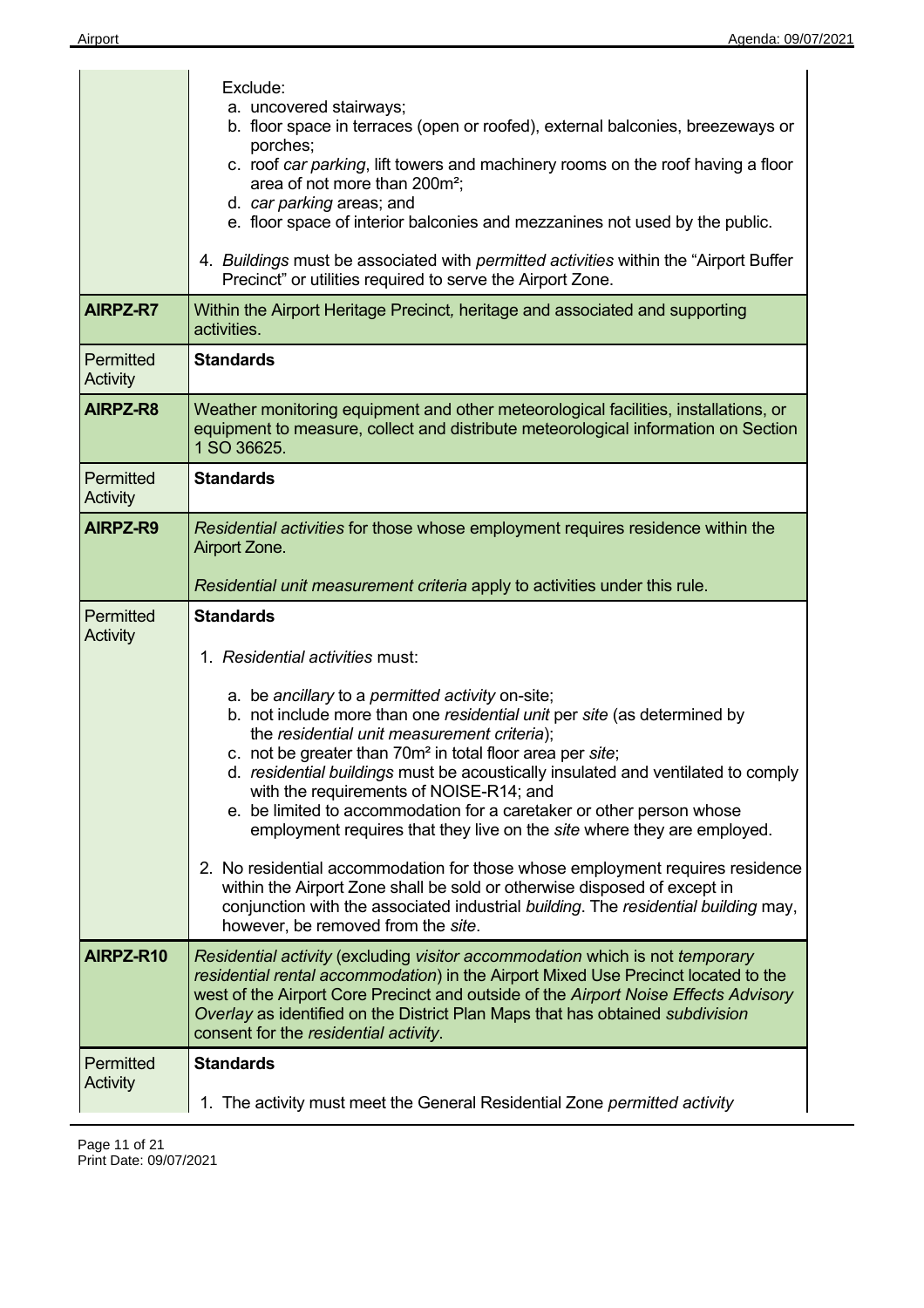|                              | Exclude:<br>a. uncovered stairways;<br>b. floor space in terraces (open or roofed), external balconies, breezeways or<br>porches;<br>c. roof car parking, lift towers and machinery rooms on the roof having a floor<br>area of not more than 200m <sup>2</sup> ;<br>d. car parking areas; and<br>e. floor space of interior balconies and mezzanines not used by the public.<br>4. Buildings must be associated with permitted activities within the "Airport Buffer"<br>Precinct" or utilities required to serve the Airport Zone.   |
|------------------------------|----------------------------------------------------------------------------------------------------------------------------------------------------------------------------------------------------------------------------------------------------------------------------------------------------------------------------------------------------------------------------------------------------------------------------------------------------------------------------------------------------------------------------------------|
| <b>AIRPZ-R7</b>              | Within the Airport Heritage Precinct, heritage and associated and supporting<br>activities.                                                                                                                                                                                                                                                                                                                                                                                                                                            |
| Permitted<br>Activity        | <b>Standards</b>                                                                                                                                                                                                                                                                                                                                                                                                                                                                                                                       |
| AIRPZ-R8                     | Weather monitoring equipment and other meteorological facilities, installations, or<br>equipment to measure, collect and distribute meteorological information on Section<br>1 SO 36625.                                                                                                                                                                                                                                                                                                                                               |
| Permitted<br>Activity        | <b>Standards</b>                                                                                                                                                                                                                                                                                                                                                                                                                                                                                                                       |
| AIRPZ-R9                     | Residential activities for those whose employment requires residence within the<br>Airport Zone.<br>Residential unit measurement criteria apply to activities under this rule.                                                                                                                                                                                                                                                                                                                                                         |
| Permitted<br><b>Activity</b> | <b>Standards</b>                                                                                                                                                                                                                                                                                                                                                                                                                                                                                                                       |
|                              |                                                                                                                                                                                                                                                                                                                                                                                                                                                                                                                                        |
|                              | 1. Residential activities must:                                                                                                                                                                                                                                                                                                                                                                                                                                                                                                        |
|                              | a. be ancillary to a permitted activity on-site;<br>b. not include more than one residential unit per site (as determined by<br>the residential unit measurement criteria);<br>c. not be greater than 70m <sup>2</sup> in total floor area per site;<br>d. residential buildings must be acoustically insulated and ventilated to comply<br>with the requirements of NOISE-R14; and<br>e. be limited to accommodation for a caretaker or other person whose<br>employment requires that they live on the site where they are employed. |
|                              | 2. No residential accommodation for those whose employment requires residence<br>within the Airport Zone shall be sold or otherwise disposed of except in<br>conjunction with the associated industrial building. The residential building may,<br>however, be removed from the site.                                                                                                                                                                                                                                                  |
| AIRPZ-R10                    | Residential activity (excluding visitor accommodation which is not temporary<br>residential rental accommodation) in the Airport Mixed Use Precinct located to the<br>west of the Airport Core Precinct and outside of the Airport Noise Effects Advisory<br>Overlay as identified on the District Plan Maps that has obtained subdivision<br>consent for the residential activity.                                                                                                                                                    |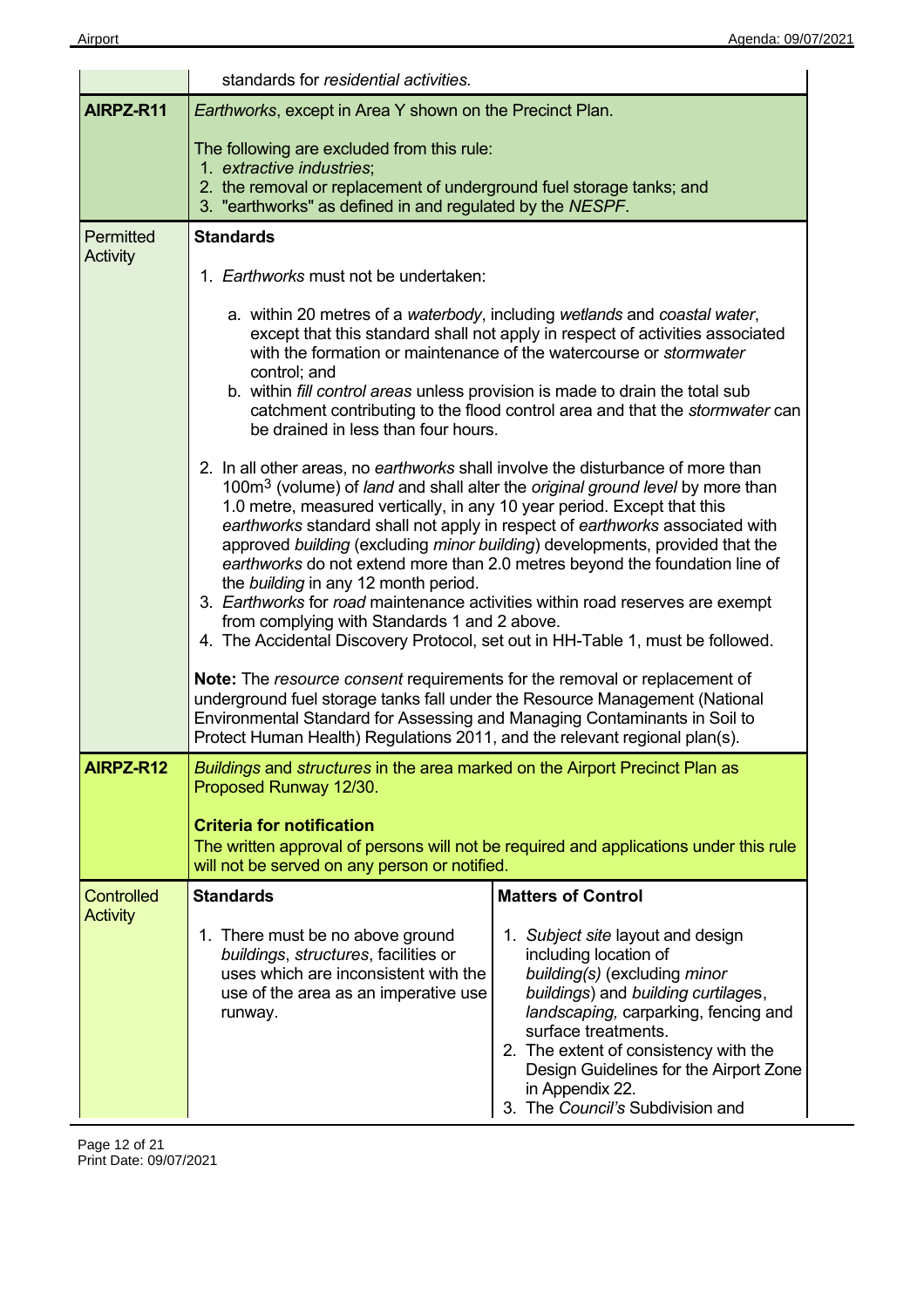|                                      | standards for residential activities.                                                                                                                                                                                                                                                                                                                                                                                                                                                                                                                                                                                                                                                                                                                                           |                                                                                                                                                                                                                                                                                                                                            |  |
|--------------------------------------|---------------------------------------------------------------------------------------------------------------------------------------------------------------------------------------------------------------------------------------------------------------------------------------------------------------------------------------------------------------------------------------------------------------------------------------------------------------------------------------------------------------------------------------------------------------------------------------------------------------------------------------------------------------------------------------------------------------------------------------------------------------------------------|--------------------------------------------------------------------------------------------------------------------------------------------------------------------------------------------------------------------------------------------------------------------------------------------------------------------------------------------|--|
| AIRPZ-R11                            | Earthworks, except in Area Y shown on the Precinct Plan.                                                                                                                                                                                                                                                                                                                                                                                                                                                                                                                                                                                                                                                                                                                        |                                                                                                                                                                                                                                                                                                                                            |  |
|                                      | The following are excluded from this rule:<br>1. extractive industries;<br>2. the removal or replacement of underground fuel storage tanks; and<br>3. "earthworks" as defined in and regulated by the NESPF.                                                                                                                                                                                                                                                                                                                                                                                                                                                                                                                                                                    |                                                                                                                                                                                                                                                                                                                                            |  |
| Permitted<br><b>Activity</b>         | <b>Standards</b>                                                                                                                                                                                                                                                                                                                                                                                                                                                                                                                                                                                                                                                                                                                                                                |                                                                                                                                                                                                                                                                                                                                            |  |
|                                      | 1. Earthworks must not be undertaken:                                                                                                                                                                                                                                                                                                                                                                                                                                                                                                                                                                                                                                                                                                                                           |                                                                                                                                                                                                                                                                                                                                            |  |
|                                      | control; and<br>b. within fill control areas unless provision is made to drain the total sub<br>be drained in less than four hours.                                                                                                                                                                                                                                                                                                                                                                                                                                                                                                                                                                                                                                             | a. within 20 metres of a waterbody, including wetlands and coastal water,<br>except that this standard shall not apply in respect of activities associated<br>with the formation or maintenance of the watercourse or <i>stormwater</i><br>catchment contributing to the flood control area and that the <i>stormwater</i> can             |  |
|                                      | 2. In all other areas, no earthworks shall involve the disturbance of more than<br>100m <sup>3</sup> (volume) of <i>land</i> and shall alter the <i>original ground level</i> by more than<br>1.0 metre, measured vertically, in any 10 year period. Except that this<br>earthworks standard shall not apply in respect of earthworks associated with<br>approved building (excluding minor building) developments, provided that the<br>earthworks do not extend more than 2.0 metres beyond the foundation line of<br>the building in any 12 month period.<br>3. Earthworks for road maintenance activities within road reserves are exempt<br>from complying with Standards 1 and 2 above.<br>4. The Accidental Discovery Protocol, set out in HH-Table 1, must be followed. |                                                                                                                                                                                                                                                                                                                                            |  |
|                                      | Note: The resource consent requirements for the removal or replacement of<br>underground fuel storage tanks fall under the Resource Management (National<br>Environmental Standard for Assessing and Managing Contaminants in Soil to<br>Protect Human Health) Regulations 2011, and the relevant regional plan(s).                                                                                                                                                                                                                                                                                                                                                                                                                                                             |                                                                                                                                                                                                                                                                                                                                            |  |
| AIRPZ-R12                            | Buildings and structures in the area marked on the Airport Precinct Plan as<br>Proposed Runway 12/30.                                                                                                                                                                                                                                                                                                                                                                                                                                                                                                                                                                                                                                                                           |                                                                                                                                                                                                                                                                                                                                            |  |
|                                      | <b>Criteria for notification</b><br>will not be served on any person or notified.                                                                                                                                                                                                                                                                                                                                                                                                                                                                                                                                                                                                                                                                                               | The written approval of persons will not be required and applications under this rule                                                                                                                                                                                                                                                      |  |
| <b>Controlled</b><br><b>Activity</b> | <b>Standards</b>                                                                                                                                                                                                                                                                                                                                                                                                                                                                                                                                                                                                                                                                                                                                                                | <b>Matters of Control</b>                                                                                                                                                                                                                                                                                                                  |  |
|                                      | 1. There must be no above ground<br>buildings, structures, facilities or<br>uses which are inconsistent with the<br>use of the area as an imperative use<br>runway.                                                                                                                                                                                                                                                                                                                                                                                                                                                                                                                                                                                                             | 1. Subject site layout and design<br>including location of<br>building(s) (excluding minor<br>buildings) and building curtilages,<br>landscaping, carparking, fencing and<br>surface treatments.<br>2. The extent of consistency with the<br>Design Guidelines for the Airport Zone<br>in Appendix 22.<br>3. The Council's Subdivision and |  |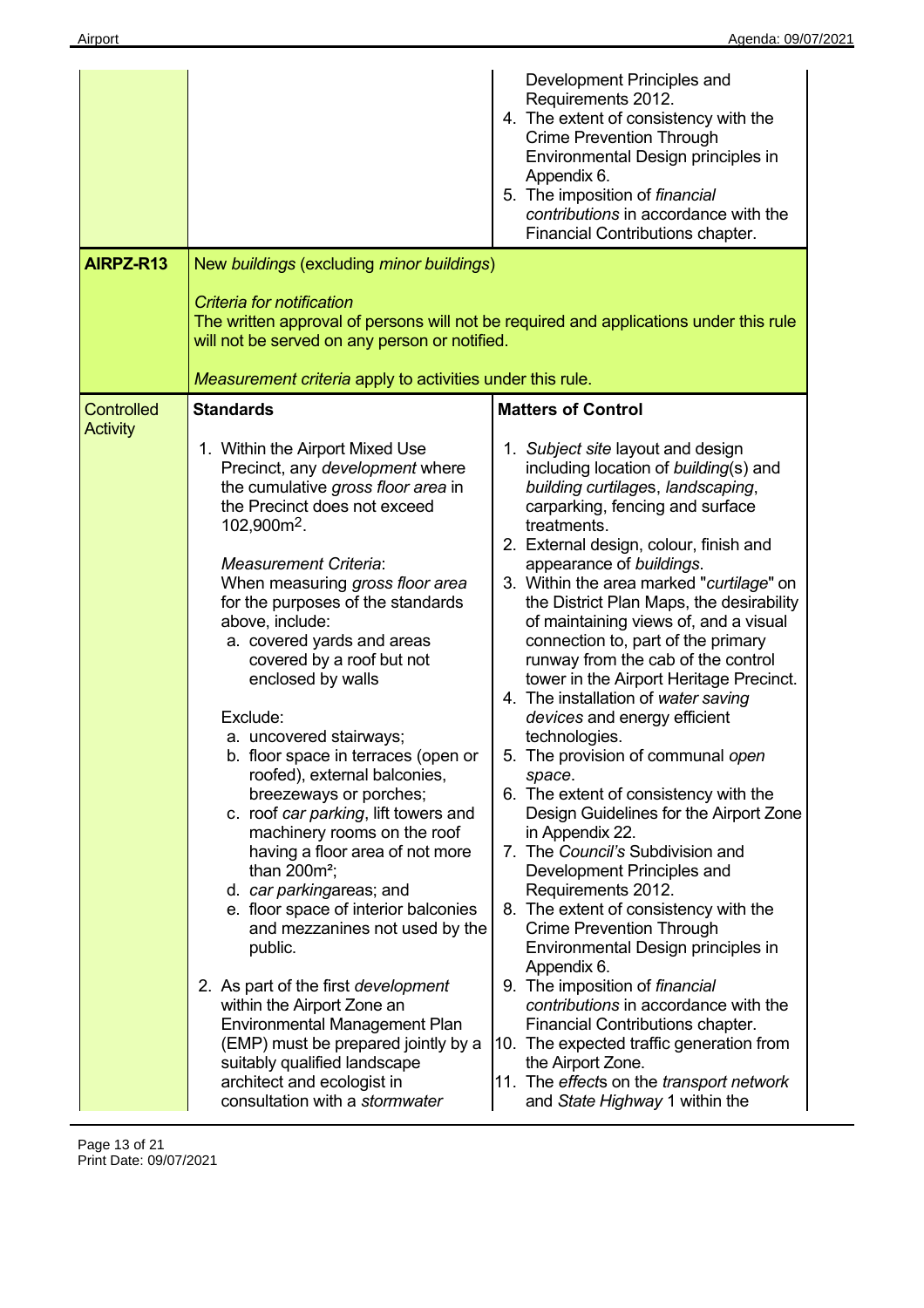|                   |                                                                                                                                                                                                                                                                                                                                                                                                                                                                                                                                                                                                                                                                                                                                                                                                                                                                                                                                                                                                                                 | Development Principles and<br>Requirements 2012.<br>4. The extent of consistency with the<br><b>Crime Prevention Through</b><br>Environmental Design principles in<br>Appendix 6.<br>5. The imposition of financial<br>contributions in accordance with the<br>Financial Contributions chapter.                                                                                                                                                                                                                                                                                                                                                                                                                                                                                                                                                                                                                                                                                                                                                                                                                                                                                                                                    |  |
|-------------------|---------------------------------------------------------------------------------------------------------------------------------------------------------------------------------------------------------------------------------------------------------------------------------------------------------------------------------------------------------------------------------------------------------------------------------------------------------------------------------------------------------------------------------------------------------------------------------------------------------------------------------------------------------------------------------------------------------------------------------------------------------------------------------------------------------------------------------------------------------------------------------------------------------------------------------------------------------------------------------------------------------------------------------|------------------------------------------------------------------------------------------------------------------------------------------------------------------------------------------------------------------------------------------------------------------------------------------------------------------------------------------------------------------------------------------------------------------------------------------------------------------------------------------------------------------------------------------------------------------------------------------------------------------------------------------------------------------------------------------------------------------------------------------------------------------------------------------------------------------------------------------------------------------------------------------------------------------------------------------------------------------------------------------------------------------------------------------------------------------------------------------------------------------------------------------------------------------------------------------------------------------------------------|--|
| AIRPZ-R13         | New buildings (excluding minor buildings)                                                                                                                                                                                                                                                                                                                                                                                                                                                                                                                                                                                                                                                                                                                                                                                                                                                                                                                                                                                       |                                                                                                                                                                                                                                                                                                                                                                                                                                                                                                                                                                                                                                                                                                                                                                                                                                                                                                                                                                                                                                                                                                                                                                                                                                    |  |
|                   | Criteria for notification<br>The written approval of persons will not be required and applications under this rule<br>will not be served on any person or notified.<br>Measurement criteria apply to activities under this rule.                                                                                                                                                                                                                                                                                                                                                                                                                                                                                                                                                                                                                                                                                                                                                                                                |                                                                                                                                                                                                                                                                                                                                                                                                                                                                                                                                                                                                                                                                                                                                                                                                                                                                                                                                                                                                                                                                                                                                                                                                                                    |  |
| <b>Controlled</b> | <b>Standards</b>                                                                                                                                                                                                                                                                                                                                                                                                                                                                                                                                                                                                                                                                                                                                                                                                                                                                                                                                                                                                                | <b>Matters of Control</b>                                                                                                                                                                                                                                                                                                                                                                                                                                                                                                                                                                                                                                                                                                                                                                                                                                                                                                                                                                                                                                                                                                                                                                                                          |  |
| <b>Activity</b>   | 1. Within the Airport Mixed Use<br>Precinct, any development where<br>the cumulative gross floor area in<br>the Precinct does not exceed<br>102,900m <sup>2</sup> .<br><b>Measurement Criteria:</b><br>When measuring gross floor area<br>for the purposes of the standards<br>above, include:<br>a. covered yards and areas<br>covered by a roof but not<br>enclosed by walls<br>Exclude:<br>a. uncovered stairways;<br>b. floor space in terraces (open or<br>roofed), external balconies,<br>breezeways or porches;<br>c. roof car parking, lift towers and<br>machinery rooms on the roof<br>having a floor area of not more<br>than $200m^2$ ;<br>d. car parkingareas; and<br>e. floor space of interior balconies<br>and mezzanines not used by the<br>public.<br>2. As part of the first <i>development</i><br>within the Airport Zone an<br><b>Environmental Management Plan</b><br>(EMP) must be prepared jointly by a<br>suitably qualified landscape<br>architect and ecologist in<br>consultation with a stormwater | 1. Subject site layout and design<br>including location of building(s) and<br>building curtilages, landscaping,<br>carparking, fencing and surface<br>treatments.<br>2. External design, colour, finish and<br>appearance of buildings.<br>3. Within the area marked "curtilage" on<br>the District Plan Maps, the desirability<br>of maintaining views of, and a visual<br>connection to, part of the primary<br>runway from the cab of the control<br>tower in the Airport Heritage Precinct.<br>4. The installation of water saving<br>devices and energy efficient<br>technologies.<br>5. The provision of communal open<br>space.<br>6. The extent of consistency with the<br>Design Guidelines for the Airport Zone<br>in Appendix 22.<br>7. The Council's Subdivision and<br>Development Principles and<br>Requirements 2012.<br>8. The extent of consistency with the<br><b>Crime Prevention Through</b><br>Environmental Design principles in<br>Appendix 6.<br>9. The imposition of financial<br>contributions in accordance with the<br>Financial Contributions chapter.<br>10. The expected traffic generation from<br>the Airport Zone.<br>11. The effects on the transport network<br>and State Highway 1 within the |  |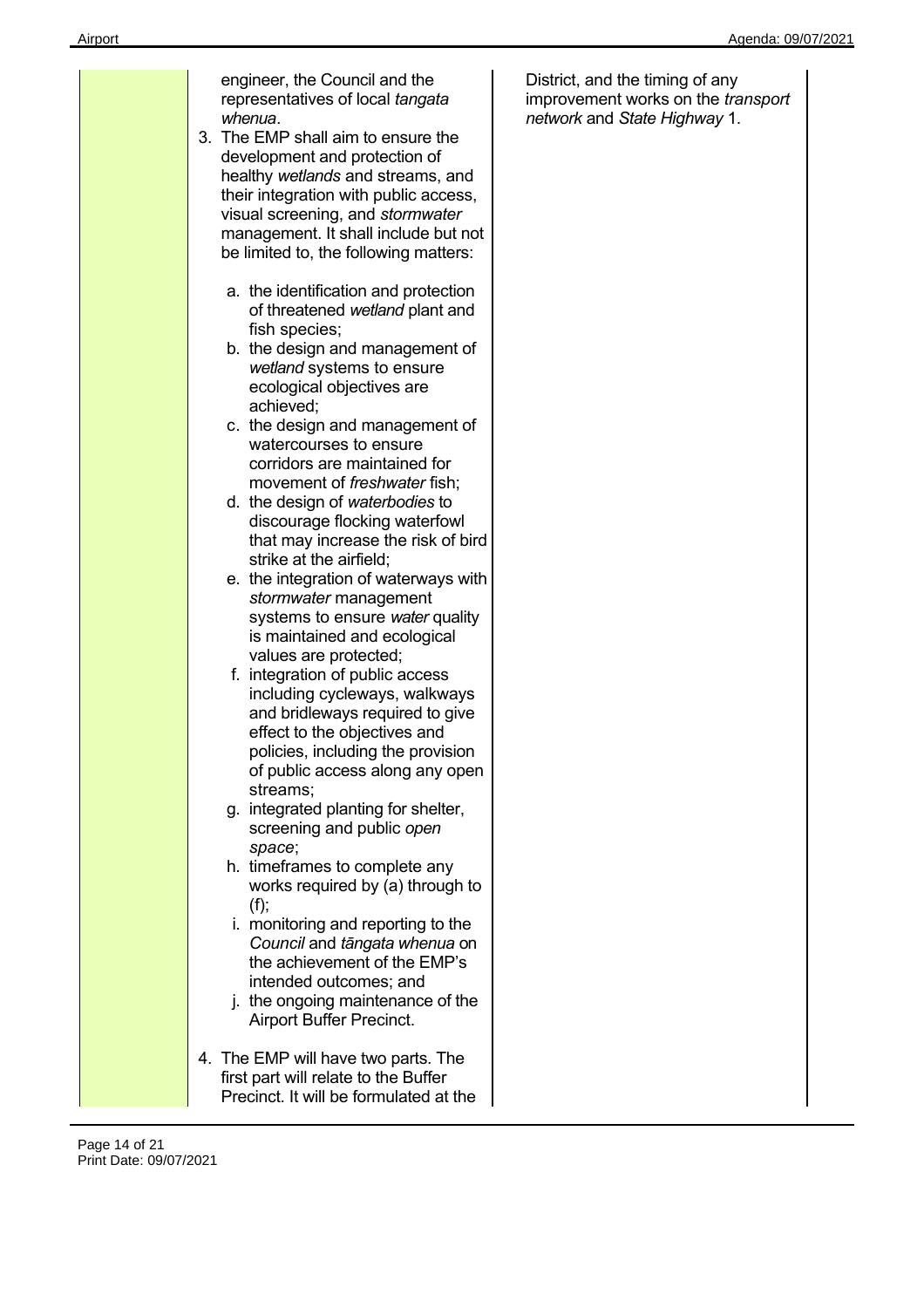| engineer, the Council and the<br>representatives of local tangata                                                                                                                                                                                                                 | Di<br>im |
|-----------------------------------------------------------------------------------------------------------------------------------------------------------------------------------------------------------------------------------------------------------------------------------|----------|
| whenua.<br>3. The EMP shall aim to ensure the<br>development and protection of<br>healthy wetlands and streams, and<br>their integration with public access,<br>visual screening, and stormwater<br>management. It shall include but not<br>be limited to, the following matters: | nє       |
| a. the identification and protection<br>of threatened wetland plant and<br>fish species;<br>b. the design and management of<br>wetland systems to ensure<br>ecological objectives are                                                                                             |          |
| achieved;<br>c. the design and management of<br>watercourses to ensure<br>corridors are maintained for<br>movement of <i>freshwater</i> fish;<br>d. the design of waterbodies to<br>discourage flocking waterfowl<br>that may increase the risk of bird                           |          |
| strike at the airfield;<br>e. the integration of waterways with<br>stormwater management<br>systems to ensure water quality<br>is maintained and ecological<br>values are protected;                                                                                              |          |
| f. integration of public access<br>including cycleways, walkways<br>and bridleways required to give<br>effect to the objectives and<br>policies, including the provision<br>of public access along any open<br>streams;                                                           |          |
| g. integrated planting for shelter,<br>screening and public open<br>space;                                                                                                                                                                                                        |          |
| h. timeframes to complete any<br>works required by (a) through to<br>(f);                                                                                                                                                                                                         |          |
| i. monitoring and reporting to the<br>Council and tāngata whenua on<br>the achievement of the EMP's<br>intended outcomes; and<br>j. the ongoing maintenance of the<br>Airport Buffer Precinct.                                                                                    |          |
| 4. The EMP will have two parts. The<br>first part will relate to the Buffer<br>Precinct. It will be formulated at the                                                                                                                                                             |          |

Page 14 of 21 Print Date: 09/07/2021 District, and the timing of any improvement works on the *transport network* and *State Highway* 1.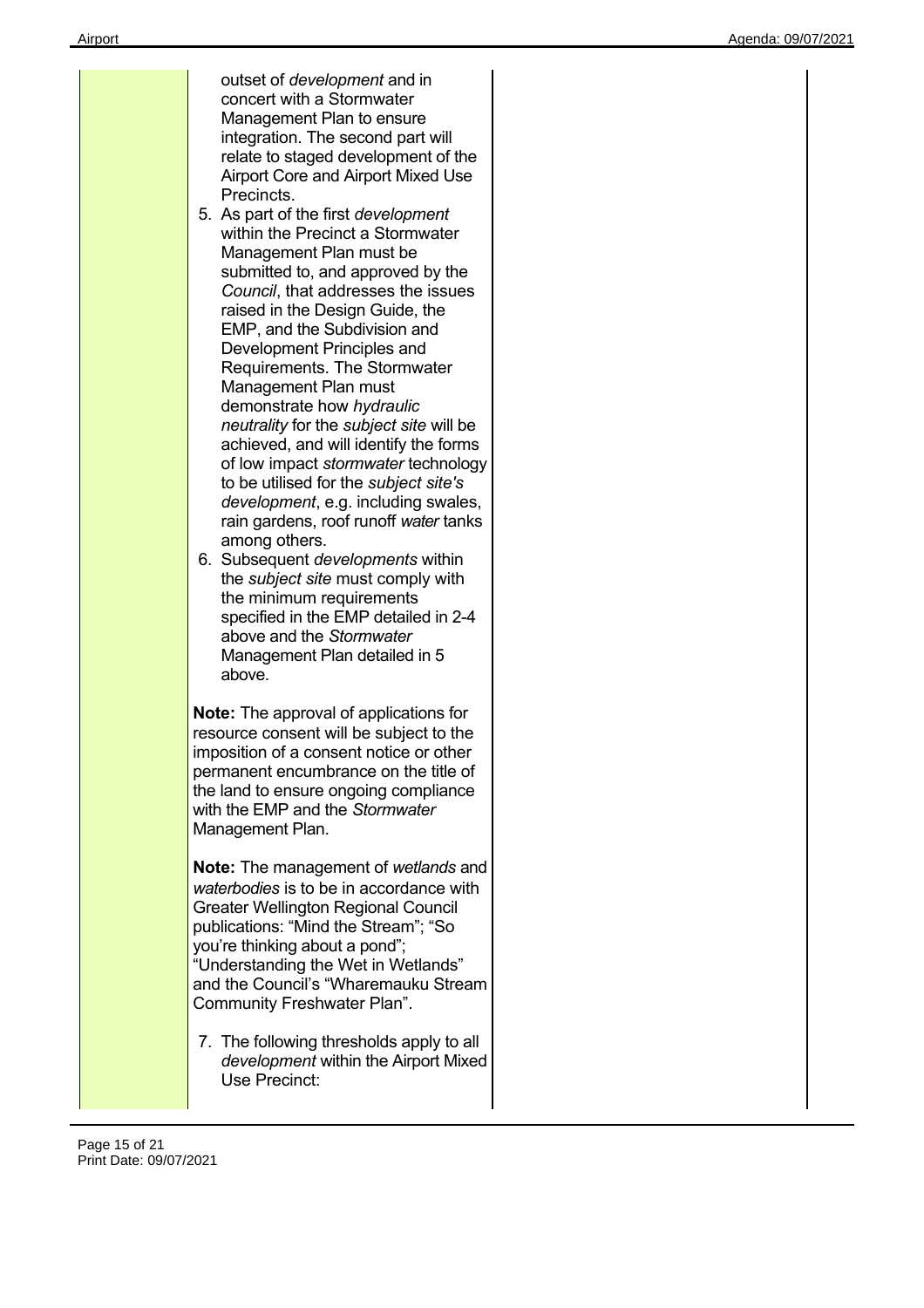| outset of <i>development</i> and in<br>concert with a Stormwater<br>Management Plan to ensure<br>integration. The second part will<br>relate to staged development of the<br><b>Airport Core and Airport Mixed Use</b><br>Precincts.<br>5. As part of the first development<br>within the Precinct a Stormwater<br>Management Plan must be<br>submitted to, and approved by the<br>Council, that addresses the issues<br>raised in the Design Guide, the<br>EMP, and the Subdivision and<br>Development Principles and<br>Requirements. The Stormwater<br>Management Plan must<br>demonstrate how hydraulic<br>neutrality for the subject site will be<br>achieved, and will identify the forms<br>of low impact stormwater technology<br>to be utilised for the subject site's<br>development, e.g. including swales,<br>rain gardens, roof runoff water tanks<br>among others.<br>6. Subsequent <i>developments</i> within<br>the subject site must comply with<br>the minimum requirements<br>specified in the EMP detailed in 2-4<br>above and the Stormwater<br>Management Plan detailed in 5<br>above. |  |
|--------------------------------------------------------------------------------------------------------------------------------------------------------------------------------------------------------------------------------------------------------------------------------------------------------------------------------------------------------------------------------------------------------------------------------------------------------------------------------------------------------------------------------------------------------------------------------------------------------------------------------------------------------------------------------------------------------------------------------------------------------------------------------------------------------------------------------------------------------------------------------------------------------------------------------------------------------------------------------------------------------------------------------------------------------------------------------------------------------------|--|
| <b>Note:</b> The approval of applications for<br>resource consent will be subject to the<br>imposition of a consent notice or other<br>permanent encumbrance on the title of<br>the land to ensure ongoing compliance<br>with the EMP and the Stormwater<br>Management Plan.                                                                                                                                                                                                                                                                                                                                                                                                                                                                                                                                                                                                                                                                                                                                                                                                                                 |  |
| <b>Note:</b> The management of wetlands and<br>waterbodies is to be in accordance with<br><b>Greater Wellington Regional Council</b><br>publications: "Mind the Stream"; "So<br>you're thinking about a pond";<br>"Understanding the Wet in Wetlands"<br>and the Council's "Wharemauku Stream<br>Community Freshwater Plan".                                                                                                                                                                                                                                                                                                                                                                                                                                                                                                                                                                                                                                                                                                                                                                                 |  |
| 7. The following thresholds apply to all<br>development within the Airport Mixed<br>Use Precinct:                                                                                                                                                                                                                                                                                                                                                                                                                                                                                                                                                                                                                                                                                                                                                                                                                                                                                                                                                                                                            |  |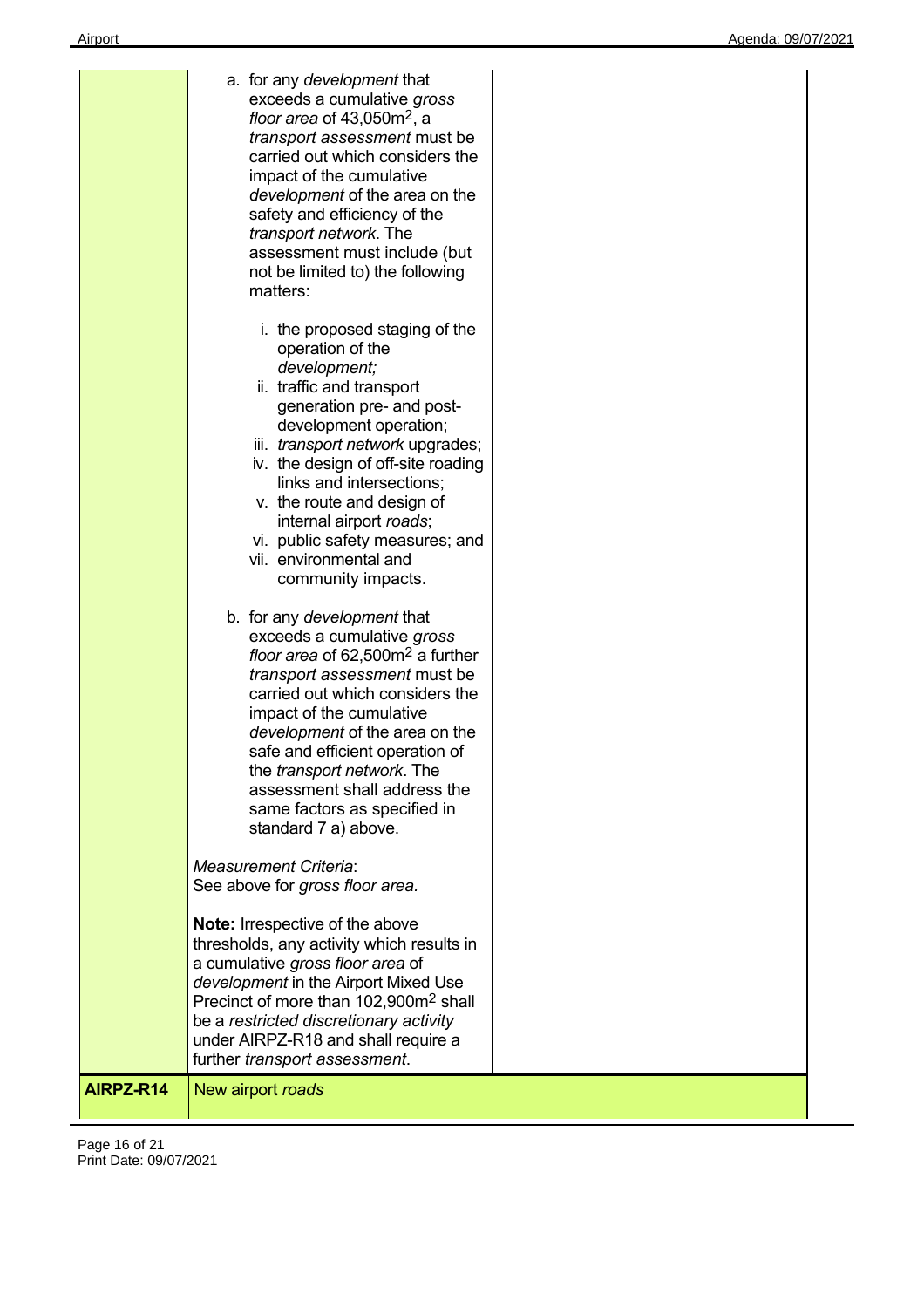| b. for any development that<br>exceeds a cumulative gross                                                                                                                                                                                                                                                                                                                                                                                                                                                                                                                                                                                                            |  |
|----------------------------------------------------------------------------------------------------------------------------------------------------------------------------------------------------------------------------------------------------------------------------------------------------------------------------------------------------------------------------------------------------------------------------------------------------------------------------------------------------------------------------------------------------------------------------------------------------------------------------------------------------------------------|--|
| floor area of 62,500m <sup>2</sup> a further<br>transport assessment must be<br>carried out which considers the<br>impact of the cumulative<br>development of the area on the<br>safe and efficient operation of<br>the transport network. The<br>assessment shall address the<br>same factors as specified in<br>standard 7 a) above.<br><b>Measurement Criteria:</b><br>See above for gross floor area.<br>Note: Irrespective of the above<br>thresholds, any activity which results in<br>a cumulative gross floor area of<br>development in the Airport Mixed Use<br>Precinct of more than 102,900m <sup>2</sup> shall<br>be a restricted discretionary activity |  |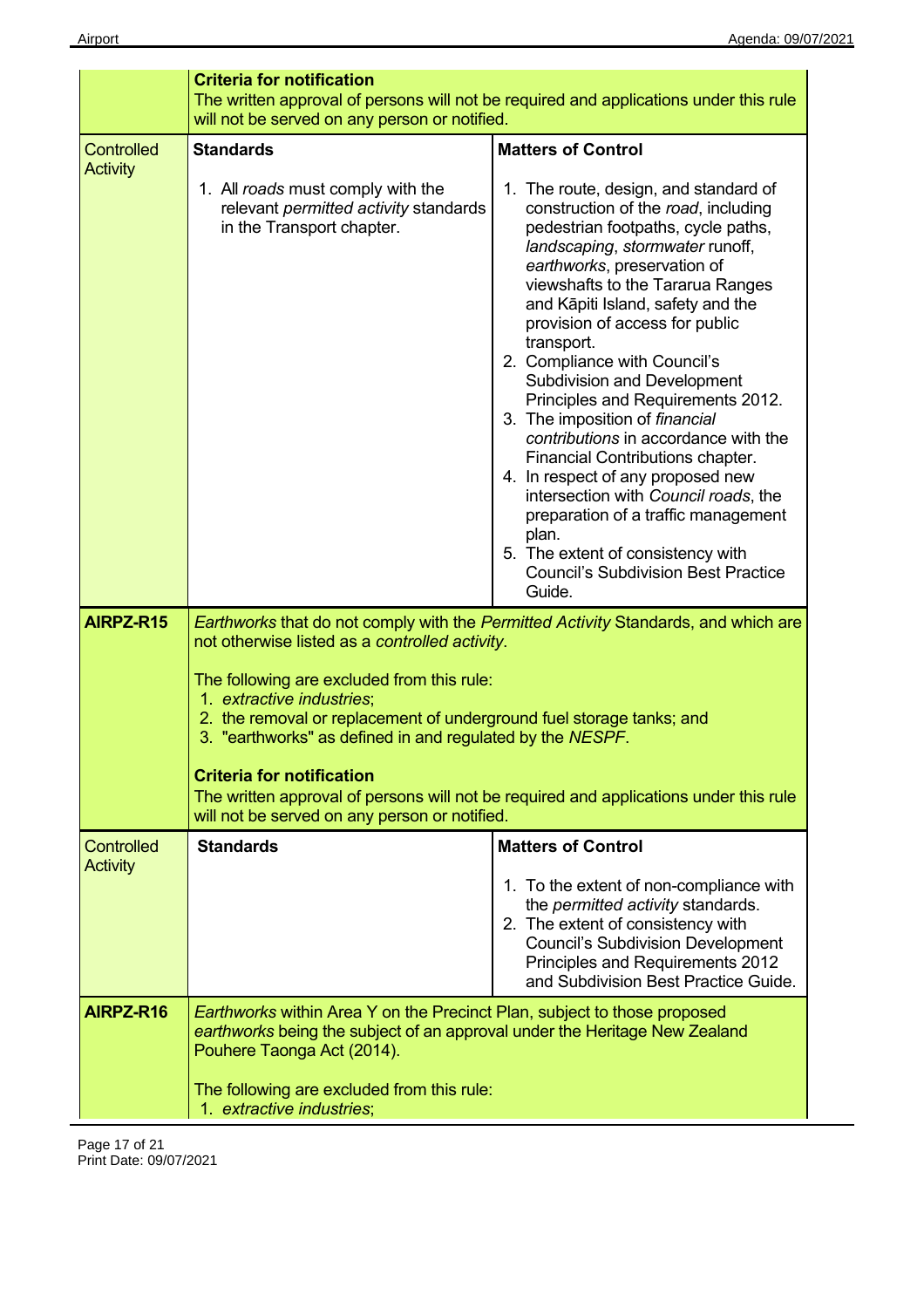|                                      | <b>Criteria for notification</b>                                                                                                                                                                                                                                                                  |                                                                                                                                                                                                                                                                                                                                                                                                                                                                                                                                                                                                                                                                                                                                                                  |
|--------------------------------------|---------------------------------------------------------------------------------------------------------------------------------------------------------------------------------------------------------------------------------------------------------------------------------------------------|------------------------------------------------------------------------------------------------------------------------------------------------------------------------------------------------------------------------------------------------------------------------------------------------------------------------------------------------------------------------------------------------------------------------------------------------------------------------------------------------------------------------------------------------------------------------------------------------------------------------------------------------------------------------------------------------------------------------------------------------------------------|
|                                      | The written approval of persons will not be required and applications under this rule<br>will not be served on any person or notified.                                                                                                                                                            |                                                                                                                                                                                                                                                                                                                                                                                                                                                                                                                                                                                                                                                                                                                                                                  |
| <b>Controlled</b><br><b>Activity</b> | <b>Standards</b>                                                                                                                                                                                                                                                                                  | <b>Matters of Control</b>                                                                                                                                                                                                                                                                                                                                                                                                                                                                                                                                                                                                                                                                                                                                        |
|                                      | 1. All roads must comply with the<br>relevant permitted activity standards<br>in the Transport chapter.                                                                                                                                                                                           | 1. The route, design, and standard of<br>construction of the road, including<br>pedestrian footpaths, cycle paths,<br>landscaping, stormwater runoff,<br>earthworks, preservation of<br>viewshafts to the Tararua Ranges<br>and Kāpiti Island, safety and the<br>provision of access for public<br>transport.<br>2. Compliance with Council's<br><b>Subdivision and Development</b><br>Principles and Requirements 2012.<br>3. The imposition of financial<br>contributions in accordance with the<br>Financial Contributions chapter.<br>4. In respect of any proposed new<br>intersection with Council roads, the<br>preparation of a traffic management<br>plan.<br>5. The extent of consistency with<br><b>Council's Subdivision Best Practice</b><br>Guide. |
| AIRPZ-R15                            | not otherwise listed as a controlled activity.                                                                                                                                                                                                                                                    | Earthworks that do not comply with the Permitted Activity Standards, and which are                                                                                                                                                                                                                                                                                                                                                                                                                                                                                                                                                                                                                                                                               |
|                                      | The following are excluded from this rule:<br>1. extractive industries;<br>2. the removal or replacement of underground fuel storage tanks; and<br>3. "earthworks" as defined in and regulated by the NESPF.<br><b>Criteria for notification</b><br>will not be served on any person or notified. | The written approval of persons will not be required and applications under this rule                                                                                                                                                                                                                                                                                                                                                                                                                                                                                                                                                                                                                                                                            |
| <b>Controlled</b>                    | <b>Standards</b>                                                                                                                                                                                                                                                                                  | <b>Matters of Control</b>                                                                                                                                                                                                                                                                                                                                                                                                                                                                                                                                                                                                                                                                                                                                        |
| <b>Activity</b>                      |                                                                                                                                                                                                                                                                                                   | 1. To the extent of non-compliance with<br>the permitted activity standards.<br>2. The extent of consistency with<br><b>Council's Subdivision Development</b><br>Principles and Requirements 2012<br>and Subdivision Best Practice Guide.                                                                                                                                                                                                                                                                                                                                                                                                                                                                                                                        |
| AIRPZ-R16                            | <b>Earthworks within Area Y on the Precinct Plan, subject to those proposed</b><br>earthworks being the subject of an approval under the Heritage New Zealand<br>Pouhere Taonga Act (2014).                                                                                                       |                                                                                                                                                                                                                                                                                                                                                                                                                                                                                                                                                                                                                                                                                                                                                                  |
|                                      | The following are excluded from this rule:<br>1. extractive industries;                                                                                                                                                                                                                           |                                                                                                                                                                                                                                                                                                                                                                                                                                                                                                                                                                                                                                                                                                                                                                  |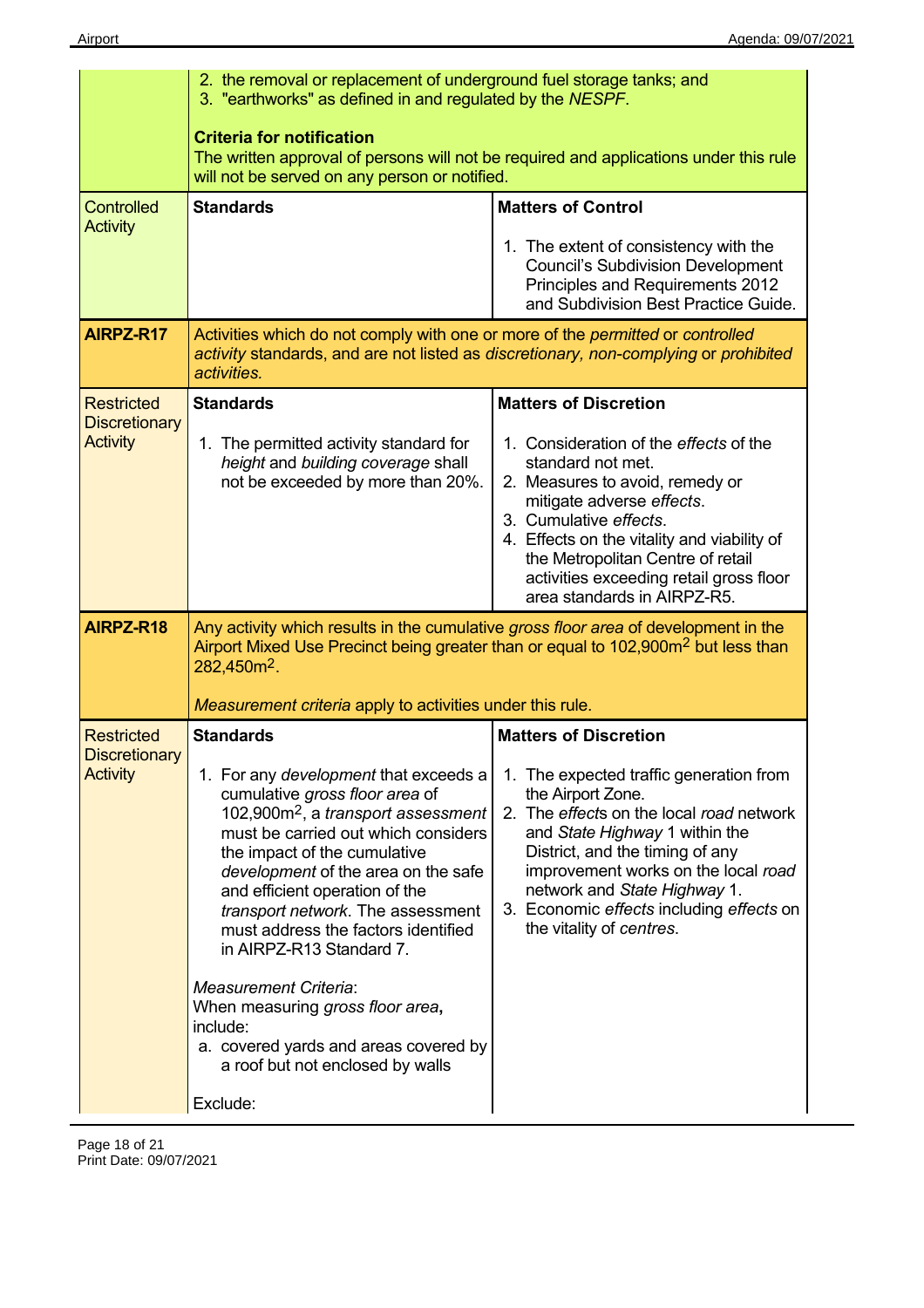|                                           | 2. the removal or replacement of underground fuel storage tanks; and<br>3. "earthworks" as defined in and regulated by the NESPF.                                                                                                                                                                                                                                                                        |                                                                                                                                                                                                                                                                                                                                 |
|-------------------------------------------|----------------------------------------------------------------------------------------------------------------------------------------------------------------------------------------------------------------------------------------------------------------------------------------------------------------------------------------------------------------------------------------------------------|---------------------------------------------------------------------------------------------------------------------------------------------------------------------------------------------------------------------------------------------------------------------------------------------------------------------------------|
|                                           | <b>Criteria for notification</b><br>will not be served on any person or notified.                                                                                                                                                                                                                                                                                                                        | The written approval of persons will not be required and applications under this rule                                                                                                                                                                                                                                           |
| <b>Controlled</b><br><b>Activity</b>      | <b>Standards</b>                                                                                                                                                                                                                                                                                                                                                                                         | <b>Matters of Control</b>                                                                                                                                                                                                                                                                                                       |
|                                           |                                                                                                                                                                                                                                                                                                                                                                                                          | 1. The extent of consistency with the<br><b>Council's Subdivision Development</b><br>Principles and Requirements 2012<br>and Subdivision Best Practice Guide.                                                                                                                                                                   |
| AIRPZ-R17                                 | Activities which do not comply with one or more of the permitted or controlled<br>activity standards, and are not listed as discretionary, non-complying or prohibited<br>activities.                                                                                                                                                                                                                    |                                                                                                                                                                                                                                                                                                                                 |
| <b>Restricted</b><br><b>Discretionary</b> | <b>Standards</b>                                                                                                                                                                                                                                                                                                                                                                                         | <b>Matters of Discretion</b>                                                                                                                                                                                                                                                                                                    |
| <b>Activity</b>                           | 1. The permitted activity standard for<br>height and building coverage shall<br>not be exceeded by more than 20%.                                                                                                                                                                                                                                                                                        | 1. Consideration of the effects of the<br>standard not met.<br>2. Measures to avoid, remedy or<br>mitigate adverse effects.<br>3. Cumulative effects.<br>4. Effects on the vitality and viability of<br>the Metropolitan Centre of retail<br>activities exceeding retail gross floor<br>area standards in AIRPZ-R5.             |
| AIRPZ-R18                                 | Any activity which results in the cumulative gross floor area of development in the                                                                                                                                                                                                                                                                                                                      |                                                                                                                                                                                                                                                                                                                                 |
|                                           | Airport Mixed Use Precinct being greater than or equal to 102,900m <sup>2</sup> but less than<br>$282,450m2$ .                                                                                                                                                                                                                                                                                           |                                                                                                                                                                                                                                                                                                                                 |
|                                           | Measurement criteria apply to activities under this rule.                                                                                                                                                                                                                                                                                                                                                |                                                                                                                                                                                                                                                                                                                                 |
| <b>Restricted</b><br><b>Discretionary</b> | <b>Standards</b>                                                                                                                                                                                                                                                                                                                                                                                         | <b>Matters of Discretion</b>                                                                                                                                                                                                                                                                                                    |
| <b>Activity</b>                           | 1. For any development that exceeds a<br>cumulative gross floor area of<br>$102,900m^2$ , a transport assessment<br>must be carried out which considers<br>the impact of the cumulative<br>development of the area on the safe<br>and efficient operation of the<br>transport network. The assessment<br>must address the factors identified<br>in AIRPZ-R13 Standard 7.<br><b>Measurement Criteria:</b> | 1. The expected traffic generation from<br>the Airport Zone.<br>The effects on the local road network<br>2.<br>and State Highway 1 within the<br>District, and the timing of any<br>improvement works on the local road<br>network and State Highway 1.<br>3. Economic effects including effects on<br>the vitality of centres. |
|                                           | When measuring gross floor area,<br>include:<br>a. covered yards and areas covered by<br>a roof but not enclosed by walls                                                                                                                                                                                                                                                                                |                                                                                                                                                                                                                                                                                                                                 |
|                                           | Exclude:                                                                                                                                                                                                                                                                                                                                                                                                 |                                                                                                                                                                                                                                                                                                                                 |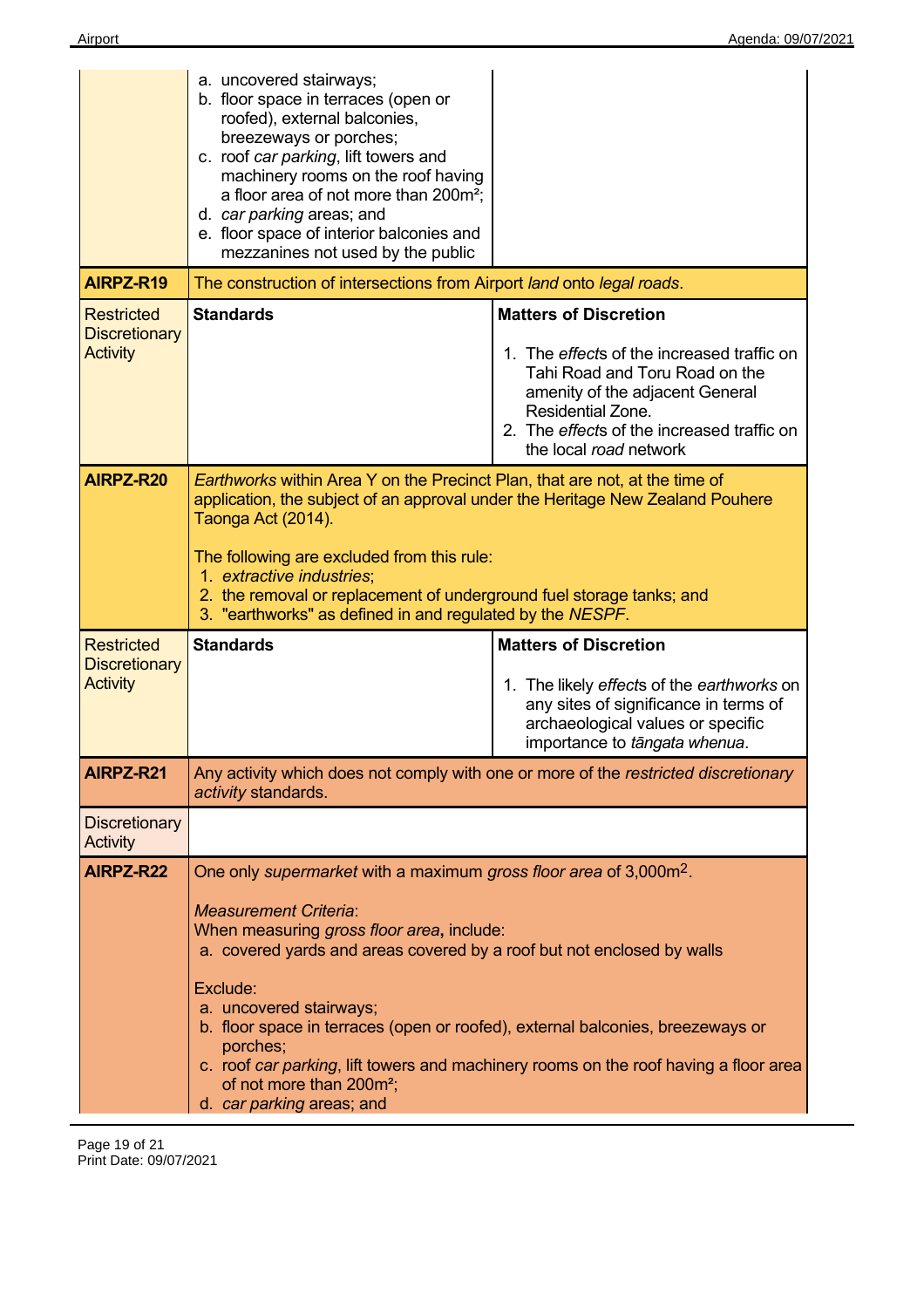|                                                              | a. uncovered stairways;<br>b. floor space in terraces (open or<br>roofed), external balconies,<br>breezeways or porches;<br>c. roof car parking, lift towers and<br>machinery rooms on the roof having<br>a floor area of not more than 200m <sup>2</sup> ;<br>d. car parking areas; and<br>e. floor space of interior balconies and<br>mezzanines not used by the public                           |                                                                                                                                                                                                                                              |
|--------------------------------------------------------------|-----------------------------------------------------------------------------------------------------------------------------------------------------------------------------------------------------------------------------------------------------------------------------------------------------------------------------------------------------------------------------------------------------|----------------------------------------------------------------------------------------------------------------------------------------------------------------------------------------------------------------------------------------------|
| AIRPZ-R19                                                    | The construction of intersections from Airport land onto legal roads.                                                                                                                                                                                                                                                                                                                               |                                                                                                                                                                                                                                              |
| <b>Restricted</b><br><b>Discretionary</b><br><b>Activity</b> | <b>Standards</b>                                                                                                                                                                                                                                                                                                                                                                                    | <b>Matters of Discretion</b><br>1. The effects of the increased traffic on<br>Tahi Road and Toru Road on the<br>amenity of the adjacent General<br>Residential Zone.<br>2. The effects of the increased traffic on<br>the local road network |
| AIRPZ-R20                                                    | Earthworks within Area Y on the Precinct Plan, that are not, at the time of<br>application, the subject of an approval under the Heritage New Zealand Pouhere<br>Taonga Act (2014).<br>The following are excluded from this rule:<br>1. extractive industries;<br>2. the removal or replacement of underground fuel storage tanks; and<br>3. "earthworks" as defined in and regulated by the NESPF. |                                                                                                                                                                                                                                              |
| <b>Restricted</b><br><b>Discretionary</b><br><b>Activity</b> | <b>Standards</b>                                                                                                                                                                                                                                                                                                                                                                                    | <b>Matters of Discretion</b><br>1. The likely effects of the earthworks on                                                                                                                                                                   |
|                                                              |                                                                                                                                                                                                                                                                                                                                                                                                     | any sites of significance in terms of<br>archaeological values or specific<br>importance to tāngata whenua.                                                                                                                                  |
| AIRPZ-R21                                                    | activity standards.                                                                                                                                                                                                                                                                                                                                                                                 | Any activity which does not comply with one or more of the restricted discretionary                                                                                                                                                          |
| <b>Discretionary</b><br>Activity                             |                                                                                                                                                                                                                                                                                                                                                                                                     |                                                                                                                                                                                                                                              |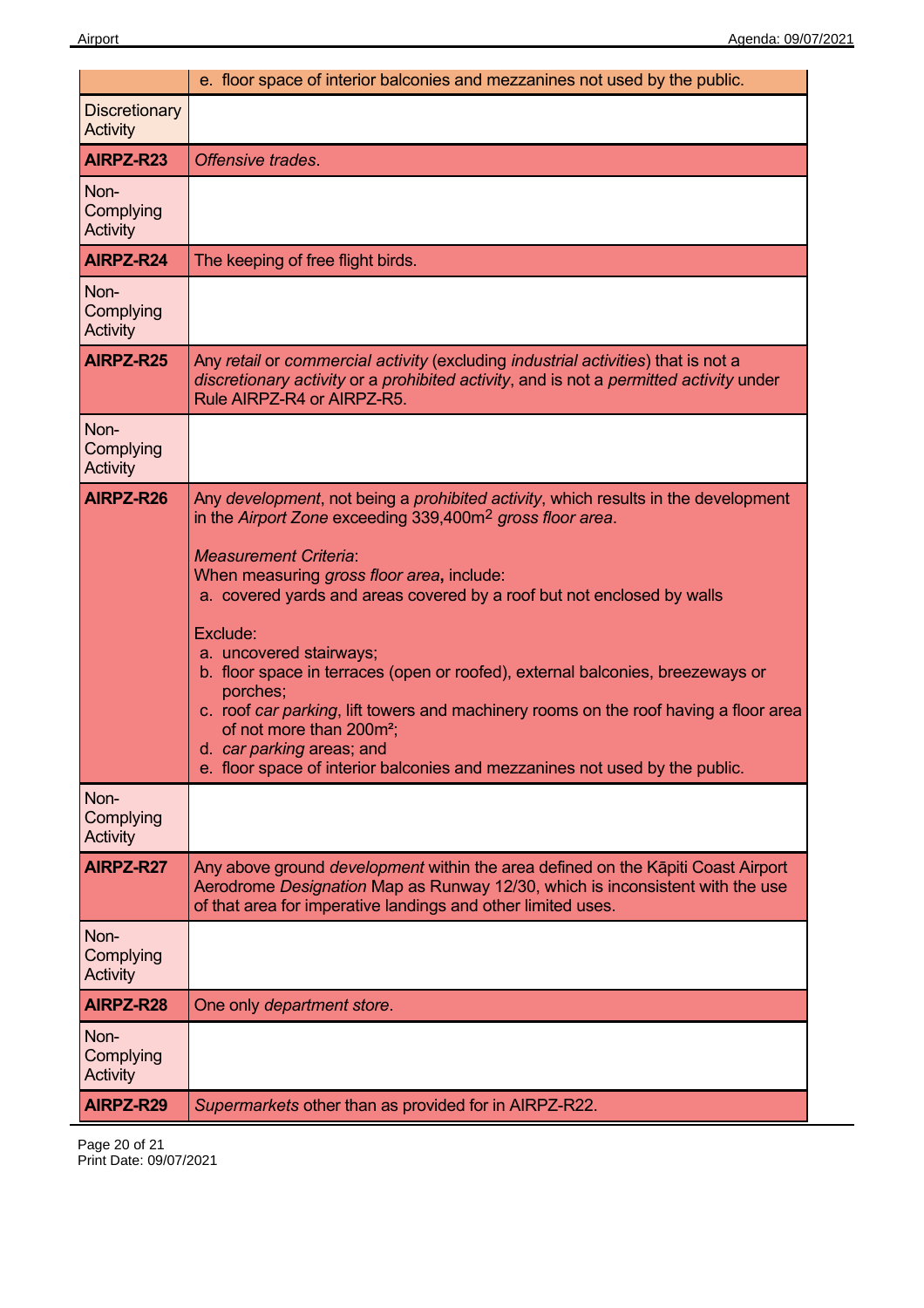|                                      | e. floor space of interior balconies and mezzanines not used by the public.                                                                                                                                                                                                                                                                                                                                                                                                                                                                                                                                                                                                                         |
|--------------------------------------|-----------------------------------------------------------------------------------------------------------------------------------------------------------------------------------------------------------------------------------------------------------------------------------------------------------------------------------------------------------------------------------------------------------------------------------------------------------------------------------------------------------------------------------------------------------------------------------------------------------------------------------------------------------------------------------------------------|
| <b>Discretionary</b><br>Activity     |                                                                                                                                                                                                                                                                                                                                                                                                                                                                                                                                                                                                                                                                                                     |
| AIRPZ-R23                            | Offensive trades.                                                                                                                                                                                                                                                                                                                                                                                                                                                                                                                                                                                                                                                                                   |
| Non-<br>Complying<br>Activity        |                                                                                                                                                                                                                                                                                                                                                                                                                                                                                                                                                                                                                                                                                                     |
| AIRPZ-R24                            | The keeping of free flight birds.                                                                                                                                                                                                                                                                                                                                                                                                                                                                                                                                                                                                                                                                   |
| Non-<br>Complying<br>Activity        |                                                                                                                                                                                                                                                                                                                                                                                                                                                                                                                                                                                                                                                                                                     |
| AIRPZ-R25                            | Any retail or commercial activity (excluding industrial activities) that is not a<br>discretionary activity or a prohibited activity, and is not a permitted activity under<br>Rule AIRPZ-R4 or AIRPZ-R5.                                                                                                                                                                                                                                                                                                                                                                                                                                                                                           |
| Non-<br>Complying<br>Activity        |                                                                                                                                                                                                                                                                                                                                                                                                                                                                                                                                                                                                                                                                                                     |
| AIRPZ-R26                            | Any development, not being a prohibited activity, which results in the development<br>in the Airport Zone exceeding 339,400m <sup>2</sup> gross floor area.<br><b>Measurement Criteria:</b><br>When measuring gross floor area, include:<br>a. covered yards and areas covered by a roof but not enclosed by walls<br>Exclude:<br>a. uncovered stairways;<br>b. floor space in terraces (open or roofed), external balconies, breezeways or<br>porches;<br>c. roof car parking, lift towers and machinery rooms on the roof having a floor area<br>of not more than 200m <sup>2</sup> ;<br>d. car parking areas; and<br>e. floor space of interior balconies and mezzanines not used by the public. |
| Non-<br>Complying<br>Activity        |                                                                                                                                                                                                                                                                                                                                                                                                                                                                                                                                                                                                                                                                                                     |
| AIRPZ-R27                            | Any above ground <i>development</i> within the area defined on the Kapiti Coast Airport<br>Aerodrome Designation Map as Runway 12/30, which is inconsistent with the use<br>of that area for imperative landings and other limited uses.                                                                                                                                                                                                                                                                                                                                                                                                                                                            |
| Non-<br>Complying<br><b>Activity</b> |                                                                                                                                                                                                                                                                                                                                                                                                                                                                                                                                                                                                                                                                                                     |
| AIRPZ-R28                            | One only department store.                                                                                                                                                                                                                                                                                                                                                                                                                                                                                                                                                                                                                                                                          |
| Non-<br>Complying<br>Activity        |                                                                                                                                                                                                                                                                                                                                                                                                                                                                                                                                                                                                                                                                                                     |
| AIRPZ-R29                            | Supermarkets other than as provided for in AIRPZ-R22.                                                                                                                                                                                                                                                                                                                                                                                                                                                                                                                                                                                                                                               |

Page 20 of 21 Print Date: 09/07/2021